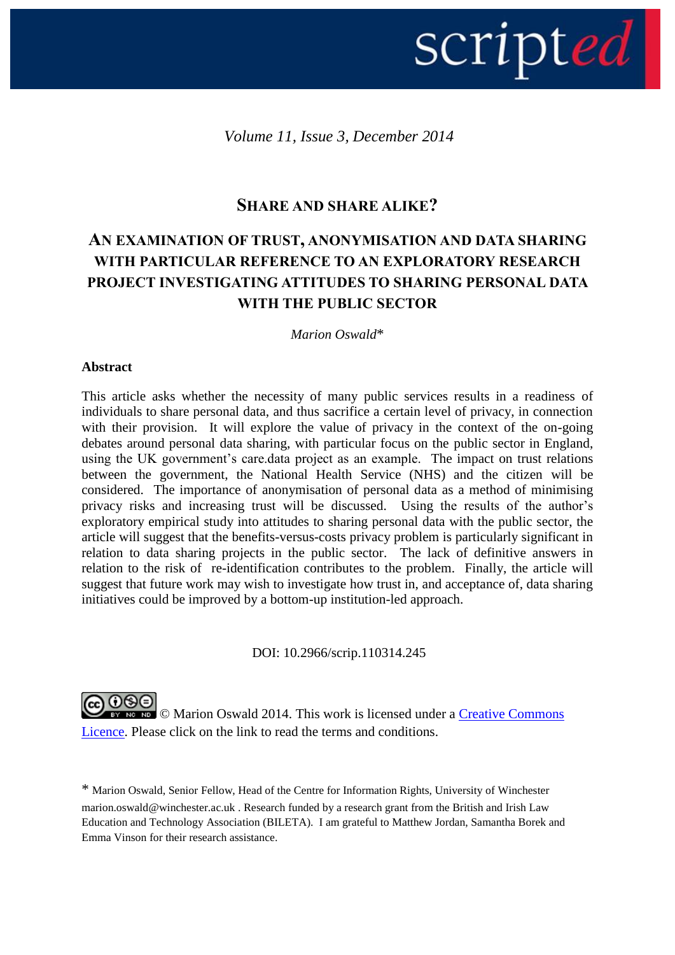# scripted

*Volume 11, Issue 3, December 2014*

# **SHARE AND SHARE ALIKE?**

# **AN EXAMINATION OF TRUST, ANONYMISATION AND DATA SHARING WITH PARTICULAR REFERENCE TO AN EXPLORATORY RESEARCH PROJECT INVESTIGATING ATTITUDES TO SHARING PERSONAL DATA WITH THE PUBLIC SECTOR**

*Marion Oswald*\*

# **Abstract**

This article asks whether the necessity of many public services results in a readiness of individuals to share personal data, and thus sacrifice a certain level of privacy, in connection with their provision. It will explore the value of privacy in the context of the on-going debates around personal data sharing, with particular focus on the public sector in England, using the UK government's care.data project as an example. The impact on trust relations between the government, the National Health Service (NHS) and the citizen will be considered. The importance of anonymisation of personal data as a method of minimising privacy risks and increasing trust will be discussed. Using the results of the author"s exploratory empirical study into attitudes to sharing personal data with the public sector, the article will suggest that the benefits-versus-costs privacy problem is particularly significant in relation to data sharing projects in the public sector. The lack of definitive answers in relation to the risk of re-identification contributes to the problem. Finally, the article will suggest that future work may wish to investigate how trust in, and acceptance of, data sharing initiatives could be improved by a bottom-up institution-led approach.

DOI: 10.2966/scrip.110314.245

**@** 0ெ **EXT NO NO.** © Marion Oswald 2014. This work is licensed under a Creative Commons [Licence.](http://creativecommons.org/licenses/by-nc-nd/2.5/scotland/) Please click on the link to read the terms and conditions.

\* Marion Oswald, Senior Fellow, Head of the Centre for Information Rights, University of Winchester [marion.oswald@winchester.ac.uk](mailto:marion.oswald@winchester.ac.uk) . Research funded by a research grant from the British and Irish Law Education and Technology Association (BILETA). I am grateful to Matthew Jordan, Samantha Borek and Emma Vinson for their research assistance.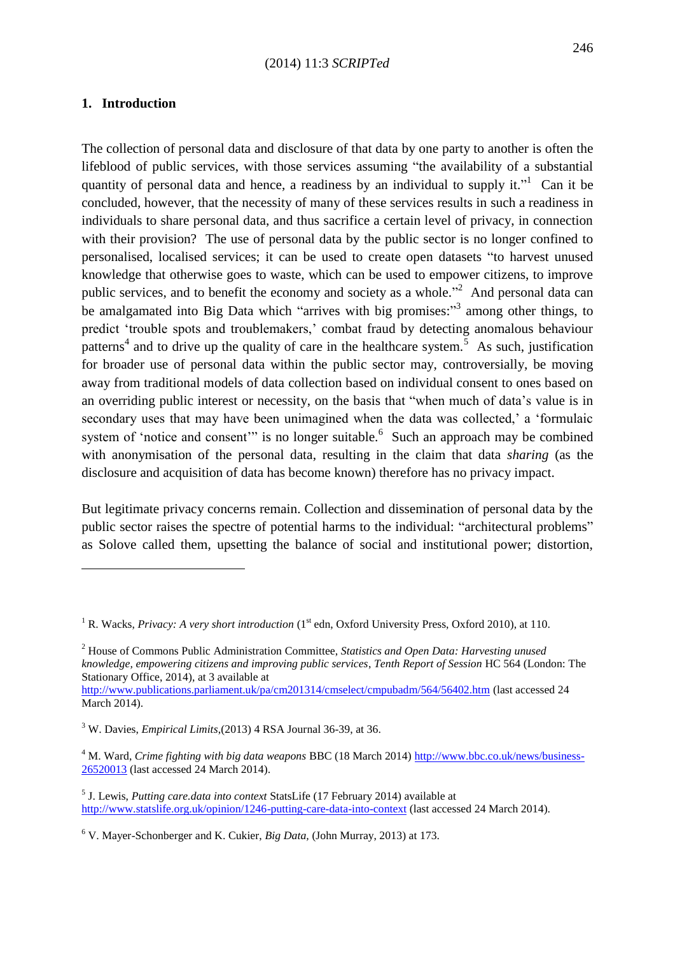# **1. Introduction**

**.** 

The collection of personal data and disclosure of that data by one party to another is often the lifeblood of public services, with those services assuming "the availability of a substantial quantity of personal data and hence, a readiness by an individual to supply it." Can it be concluded, however, that the necessity of many of these services results in such a readiness in individuals to share personal data, and thus sacrifice a certain level of privacy, in connection with their provision? The use of personal data by the public sector is no longer confined to personalised, localised services; it can be used to create open datasets "to harvest unused knowledge that otherwise goes to waste, which can be used to empower citizens, to improve public services, and to benefit the economy and society as a whole.<sup> $2$ </sup> And personal data can be amalgamated into Big Data which "arrives with big promises:"<sup>3</sup> among other things, to predict "trouble spots and troublemakers," combat fraud by detecting anomalous behaviour patterns<sup>4</sup> and to drive up the quality of care in the healthcare system.<sup>5</sup> As such, justification for broader use of personal data within the public sector may, controversially, be moving away from traditional models of data collection based on individual consent to ones based on an overriding public interest or necessity, on the basis that "when much of data"s value is in secondary uses that may have been unimagined when the data was collected,' a 'formulaic system of 'notice and consent'" is no longer suitable.  $6\text{ Such}$  an approach may be combined with anonymisation of the personal data, resulting in the claim that data *sharing* (as the disclosure and acquisition of data has become known) therefore has no privacy impact.

But legitimate privacy concerns remain. Collection and dissemination of personal data by the public sector raises the spectre of potential harms to the individual: "architectural problems" as Solove called them, upsetting the balance of social and institutional power; distortion,

<sup>&</sup>lt;sup>1</sup> R. Wacks, *Privacy: A very short introduction* (1<sup>st</sup> edn, Oxford University Press, Oxford 2010), at 110.

<sup>2</sup> House of Commons Public Administration Committee, *Statistics and Open Data: Harvesting unused knowledge, empowering citizens and improving public services*, *Tenth Report of Session* HC 564 (London: The Stationary Office, 2014), at 3 available at

<http://www.publications.parliament.uk/pa/cm201314/cmselect/cmpubadm/564/56402.htm> (last accessed 24 March 2014).

<sup>3</sup> W. Davies, *Empirical Limits*,(2013) 4 RSA Journal 36-39, at 36.

<sup>&</sup>lt;sup>4</sup> M. Ward, *Crime fighting with big data weapons* BBC (18 March 2014[\) http://www.bbc.co.uk/news/business-](http://www.bbc.co.uk/news/business-26520013)[26520013](http://www.bbc.co.uk/news/business-26520013) (last accessed 24 March 2014).

<sup>5</sup> J. Lewis, *Putting care.data into context* StatsLife (17 February 2014) available at [http://www.statslife.org.uk/opinion/1246-putting-care-data-into-context](http://www.statslife.org.uk/opinion/1246-putting-care-data-into-context#.UwIaIEi5LSY.twitter) (last accessed 24 March 2014).

<sup>6</sup> V. Mayer-Schonberger and K. Cukier, *Big Data,* (John Murray, 2013) at 173.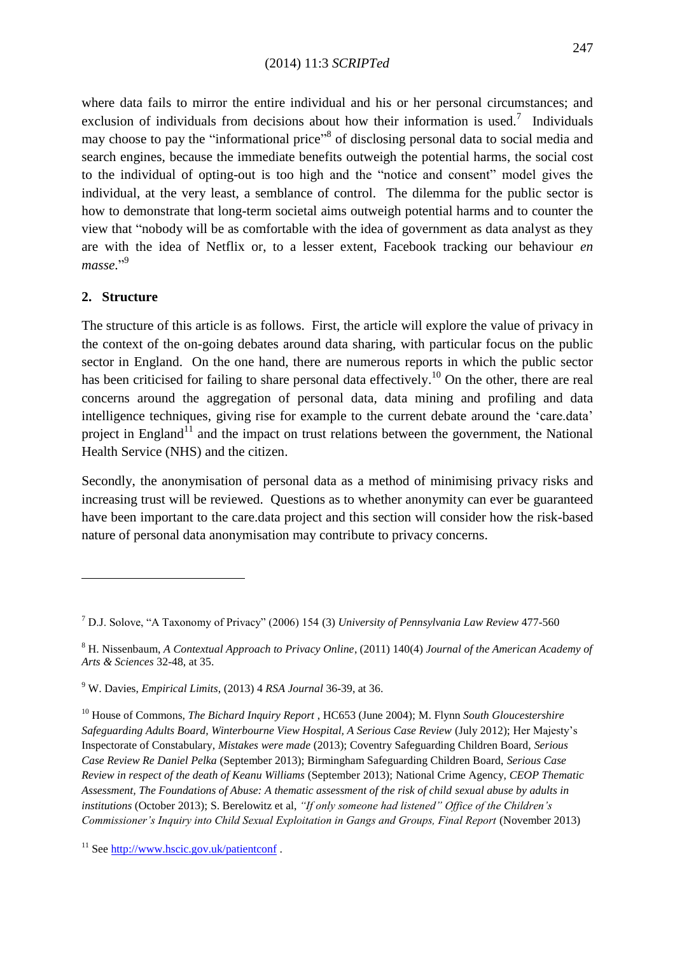where data fails to mirror the entire individual and his or her personal circumstances; and exclusion of individuals from decisions about how their information is used.<sup>7</sup> Individuals may choose to pay the "informational price"<sup>8</sup> of disclosing personal data to social media and search engines, because the immediate benefits outweigh the potential harms, the social cost to the individual of opting-out is too high and the "notice and consent" model gives the individual, at the very least, a semblance of control. The dilemma for the public sector is how to demonstrate that long-term societal aims outweigh potential harms and to counter the view that "nobody will be as comfortable with the idea of government as data analyst as they are with the idea of Netflix or, to a lesser extent, Facebook tracking our behaviour *en masse*." 9

# **2. Structure**

**.** 

The structure of this article is as follows. First, the article will explore the value of privacy in the context of the on-going debates around data sharing, with particular focus on the public sector in England. On the one hand, there are numerous reports in which the public sector has been criticised for failing to share personal data effectively.<sup>10</sup> On the other, there are real concerns around the aggregation of personal data, data mining and profiling and data intelligence techniques, giving rise for example to the current debate around the 'care.data' project in England<sup>11</sup> and the impact on trust relations between the government, the National Health Service (NHS) and the citizen.

Secondly, the anonymisation of personal data as a method of minimising privacy risks and increasing trust will be reviewed. Questions as to whether anonymity can ever be guaranteed have been important to the care.data project and this section will consider how the risk-based nature of personal data anonymisation may contribute to privacy concerns.

<sup>7</sup> D.J. Solove, "A Taxonomy of Privacy" (2006) 154 (3) *University of Pennsylvania Law Review* 477-560

<sup>8</sup> H. Nissenbaum, *A Contextual Approach to Privacy Online*, (2011) 140(4) *Journal of the American Academy of Arts & Sciences* 32-48, at 35.

<sup>9</sup> W. Davies, *Empirical Limits*, (2013) 4 *RSA Journal* 36-39, at 36.

<sup>10</sup> House of Commons, *The Bichard Inquiry Report* , HC653 (June 2004); M. Flynn *South Gloucestershire Safeguarding Adults Board, Winterbourne View Hospital, A Serious Case Review* (July 2012); Her Majesty"s Inspectorate of Constabulary, *Mistakes were made* (2013); Coventry Safeguarding Children Board, *Serious Case Review Re Daniel Pelka* (September 2013); Birmingham Safeguarding Children Board, *Serious Case Review in respect of the death of Keanu Williams* (September 2013); National Crime Agency, *CEOP Thematic Assessment, The Foundations of Abuse: A thematic assessment of the risk of child sexual abuse by adults in institutions* (October 2013); S. Berelowitz et al, *"If only someone had listened" Office of the Children"s Commissioner"s Inquiry into Child Sexual Exploitation in Gangs and Groups, Final Report* (November 2013)

<sup>&</sup>lt;sup>11</sup> See<http://www.hscic.gov.uk/patientconf>.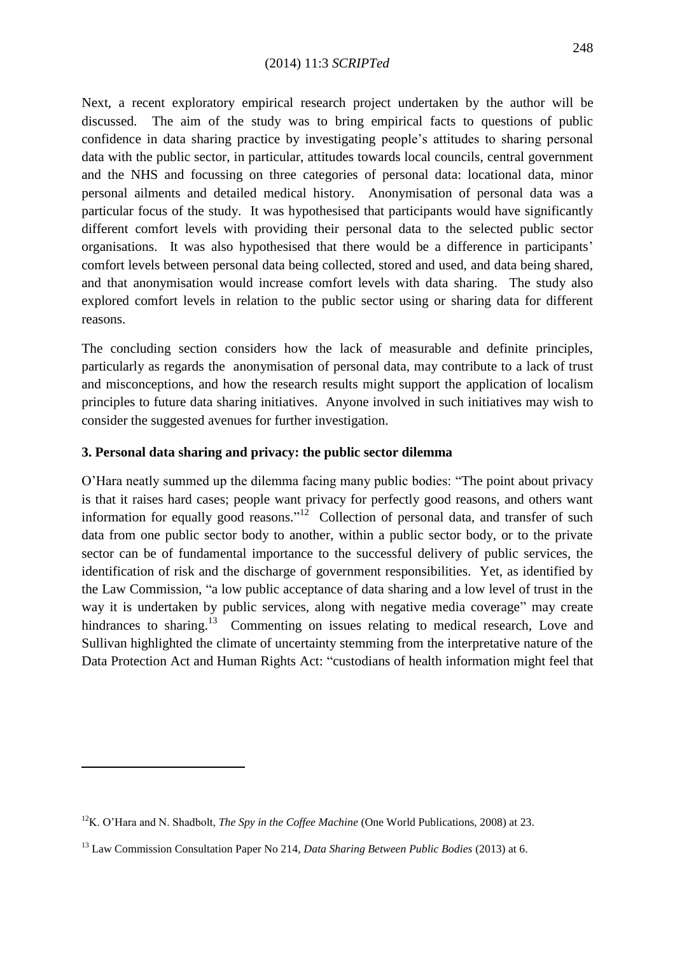Next, a recent exploratory empirical research project undertaken by the author will be discussed. The aim of the study was to bring empirical facts to questions of public confidence in data sharing practice by investigating people"s attitudes to sharing personal data with the public sector, in particular, attitudes towards local councils, central government and the NHS and focussing on three categories of personal data: locational data, minor personal ailments and detailed medical history. Anonymisation of personal data was a particular focus of the study. It was hypothesised that participants would have significantly different comfort levels with providing their personal data to the selected public sector organisations. It was also hypothesised that there would be a difference in participants" comfort levels between personal data being collected, stored and used, and data being shared, and that anonymisation would increase comfort levels with data sharing. The study also explored comfort levels in relation to the public sector using or sharing data for different reasons.

The concluding section considers how the lack of measurable and definite principles, particularly as regards the anonymisation of personal data, may contribute to a lack of trust and misconceptions, and how the research results might support the application of localism principles to future data sharing initiatives. Anyone involved in such initiatives may wish to consider the suggested avenues for further investigation.

# **3. Personal data sharing and privacy: the public sector dilemma**

O"Hara neatly summed up the dilemma facing many public bodies: "The point about privacy is that it raises hard cases; people want privacy for perfectly good reasons, and others want information for equally good reasons."<sup>12</sup> Collection of personal data, and transfer of such data from one public sector body to another, within a public sector body, or to the private sector can be of fundamental importance to the successful delivery of public services, the identification of risk and the discharge of government responsibilities. Yet, as identified by the Law Commission, "a low public acceptance of data sharing and a low level of trust in the way it is undertaken by public services, along with negative media coverage" may create hindrances to sharing.<sup>13</sup> Commenting on issues relating to medical research, Love and Sullivan highlighted the climate of uncertainty stemming from the interpretative nature of the Data Protection Act and Human Rights Act: "custodians of health information might feel that

<sup>12</sup>K. O"Hara and N. Shadbolt, *The Spy in the Coffee Machine* (One World Publications, 2008) at 23.

<sup>13</sup> Law Commission Consultation Paper No 214, *Data Sharing Between Public Bodies* (2013) at 6.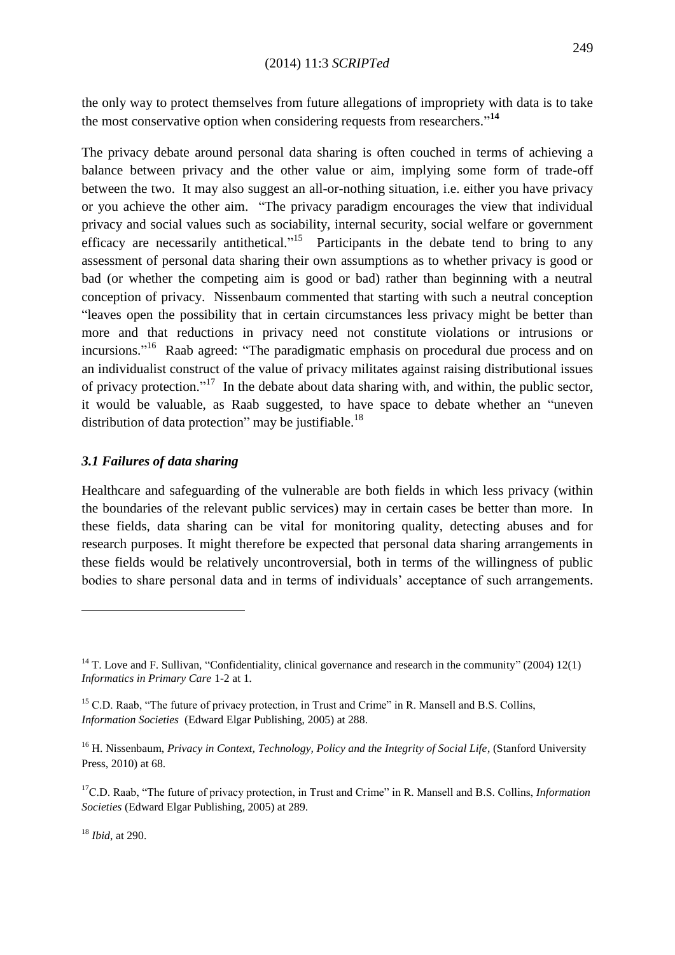the only way to protect themselves from future allegations of impropriety with data is to take the most conservative option when considering requests from researchers." **14**

The privacy debate around personal data sharing is often couched in terms of achieving a balance between privacy and the other value or aim, implying some form of trade-off between the two. It may also suggest an all-or-nothing situation, i.e. either you have privacy or you achieve the other aim. "The privacy paradigm encourages the view that individual privacy and social values such as sociability, internal security, social welfare or government efficacy are necessarily antithetical."<sup>15</sup> Participants in the debate tend to bring to any assessment of personal data sharing their own assumptions as to whether privacy is good or bad (or whether the competing aim is good or bad) rather than beginning with a neutral conception of privacy. Nissenbaum commented that starting with such a neutral conception "leaves open the possibility that in certain circumstances less privacy might be better than more and that reductions in privacy need not constitute violations or intrusions or incursions."<sup>16</sup> Raab agreed: "The paradigmatic emphasis on procedural due process and on an individualist construct of the value of privacy militates against raising distributional issues of privacy protection."<sup>17</sup> In the debate about data sharing with, and within, the public sector, it would be valuable, as Raab suggested, to have space to debate whether an "uneven distribution of data protection" may be justifiable.<sup>18</sup>

# *3.1 Failures of data sharing*

Healthcare and safeguarding of the vulnerable are both fields in which less privacy (within the boundaries of the relevant public services) may in certain cases be better than more. In these fields, data sharing can be vital for monitoring quality, detecting abuses and for research purposes. It might therefore be expected that personal data sharing arrangements in these fields would be relatively uncontroversial, both in terms of the willingness of public bodies to share personal data and in terms of individuals" acceptance of such arrangements.

<sup>18</sup> *Ibid*, at 290.

<sup>&</sup>lt;sup>14</sup> T. Love and F. Sullivan, "Confidentiality, clinical governance and research in the community" (2004) 12(1) *Informatics in Primary Care* 1-2 at 1*.*

<sup>&</sup>lt;sup>15</sup> C.D. Raab, "The future of privacy protection, in Trust and Crime" in R. Mansell and B.S. Collins, *Information Societies* (Edward Elgar Publishing, 2005) at 288.

<sup>&</sup>lt;sup>16</sup> H. Nissenbaum, *Privacy in Context, Technology, Policy and the Integrity of Social Life*, (Stanford University Press, 2010) at 68.

<sup>17</sup>C.D. Raab, "The future of privacy protection, in Trust and Crime" in R. Mansell and B.S. Collins, *Information Societies* (Edward Elgar Publishing, 2005) at 289.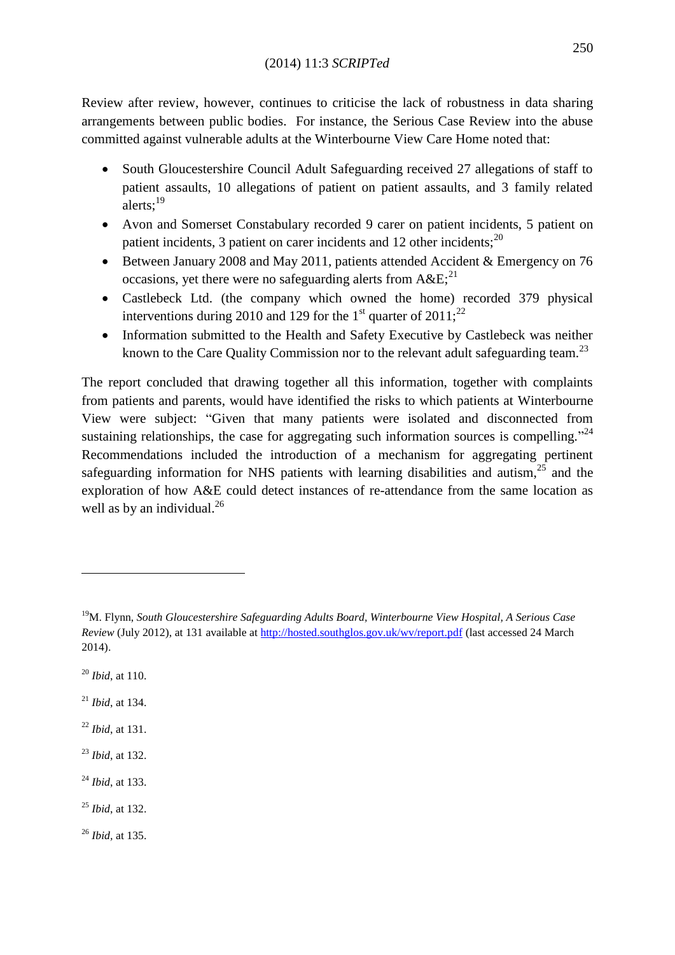Review after review, however, continues to criticise the lack of robustness in data sharing arrangements between public bodies. For instance, the Serious Case Review into the abuse committed against vulnerable adults at the Winterbourne View Care Home noted that:

- South Gloucestershire Council Adult Safeguarding received 27 allegations of staff to patient assaults, 10 allegations of patient on patient assaults, and 3 family related alerts:<sup>19</sup>
- Avon and Somerset Constabulary recorded 9 carer on patient incidents, 5 patient on patient incidents, 3 patient on carer incidents and 12 other incidents; $^{20}$
- Between January 2008 and May 2011, patients attended Accident & Emergency on 76 occasions, yet there were no safeguarding alerts from  $A\&E^{21}$
- Castlebeck Ltd. (the company which owned the home) recorded 379 physical interventions during 2010 and 129 for the 1<sup>st</sup> quarter of  $2011$ ;<sup>22</sup>
- Information submitted to the Health and Safety Executive by Castlebeck was neither known to the Care Quality Commission nor to the relevant adult safeguarding team.<sup>23</sup>

The report concluded that drawing together all this information, together with complaints from patients and parents, would have identified the risks to which patients at Winterbourne View were subject: "Given that many patients were isolated and disconnected from sustaining relationships, the case for aggregating such information sources is compelling.<sup> $24$ </sup> Recommendations included the introduction of a mechanism for aggregating pertinent safeguarding information for NHS patients with learning disabilities and autism, $^{25}$  and the exploration of how A&E could detect instances of re-attendance from the same location as well as by an individual. $^{26}$ 

<sup>20</sup> *Ibid*, at 110.

1

- <sup>21</sup> *Ibid*, at 134.
- <sup>22</sup> *Ibid*, at 131.
- <sup>23</sup> *Ibid*, at 132.
- <sup>24</sup> *Ibid*, at 133.
- <sup>25</sup> *Ibid*, at 132.

<sup>26</sup> *Ibid,* at 135.

<sup>19</sup>M. Flynn, *South Gloucestershire Safeguarding Adults Board, Winterbourne View Hospital, A Serious Case Review* (July 2012), at 131 available a[t http://hosted.southglos.gov.uk/wv/report.pdf](http://hosted.southglos.gov.uk/wv/report.pdf) (last accessed 24 March 2014).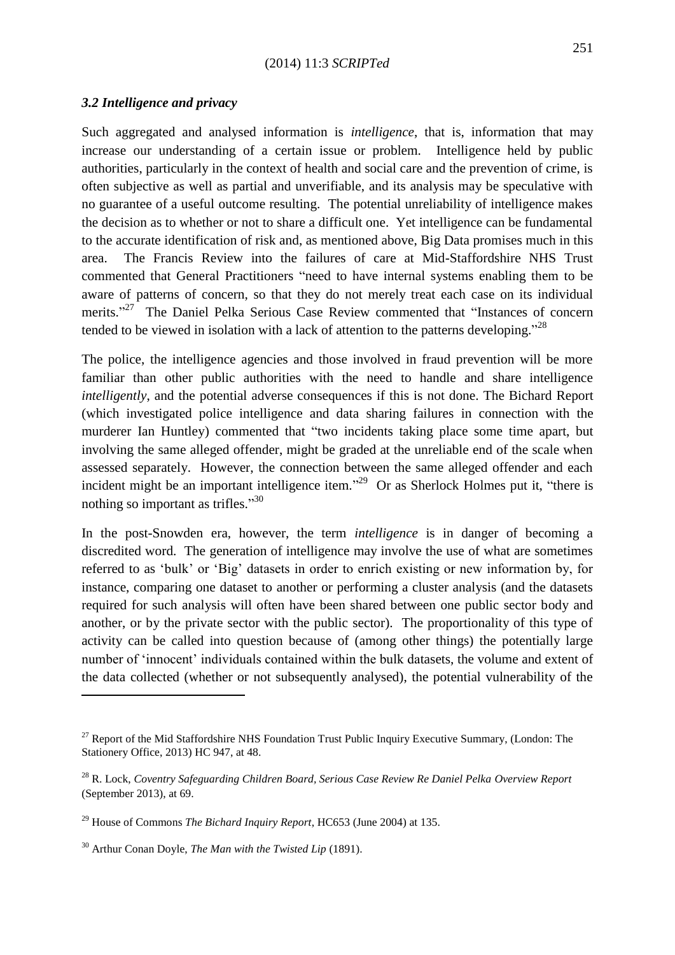#### *3.2 Intelligence and privacy*

Such aggregated and analysed information is *intelligence*, that is, information that may increase our understanding of a certain issue or problem. Intelligence held by public authorities, particularly in the context of health and social care and the prevention of crime, is often subjective as well as partial and unverifiable, and its analysis may be speculative with no guarantee of a useful outcome resulting. The potential unreliability of intelligence makes the decision as to whether or not to share a difficult one. Yet intelligence can be fundamental to the accurate identification of risk and, as mentioned above, Big Data promises much in this area. The Francis Review into the failures of care at Mid-Staffordshire NHS Trust commented that General Practitioners "need to have internal systems enabling them to be aware of patterns of concern, so that they do not merely treat each case on its individual merits."<sup>27</sup> The Daniel Pelka Serious Case Review commented that "Instances of concern tended to be viewed in isolation with a lack of attention to the patterns developing.<sup> $28$ </sup>

The police, the intelligence agencies and those involved in fraud prevention will be more familiar than other public authorities with the need to handle and share intelligence *intelligently*, and the potential adverse consequences if this is not done. The Bichard Report (which investigated police intelligence and data sharing failures in connection with the murderer Ian Huntley) commented that "two incidents taking place some time apart, but involving the same alleged offender, might be graded at the unreliable end of the scale when assessed separately. However, the connection between the same alleged offender and each incident might be an important intelligence item."<sup>29</sup> Or as Sherlock Holmes put it, "there is nothing so important as trifles."<sup>30</sup>

In the post-Snowden era, however, the term *intelligence* is in danger of becoming a discredited word. The generation of intelligence may involve the use of what are sometimes referred to as "bulk" or "Big" datasets in order to enrich existing or new information by, for instance, comparing one dataset to another or performing a cluster analysis (and the datasets required for such analysis will often have been shared between one public sector body and another, or by the private sector with the public sector). The proportionality of this type of activity can be called into question because of (among other things) the potentially large number of "innocent" individuals contained within the bulk datasets, the volume and extent of the data collected (whether or not subsequently analysed), the potential vulnerability of the

<sup>&</sup>lt;sup>27</sup> Report of the Mid Staffordshire NHS Foundation Trust Public Inquiry Executive Summary, (London: The Stationery Office, 2013) HC 947, at 48.

<sup>28</sup> R. Lock, *Coventry Safeguarding Children Board, Serious Case Review Re Daniel Pelka Overview Report*  (September 2013), at 69.

<sup>29</sup> House of Commons *The Bichard Inquiry Report*, HC653 (June 2004) at 135.

<sup>30</sup> Arthur Conan Doyle, *The Man with the Twisted Lip* (1891).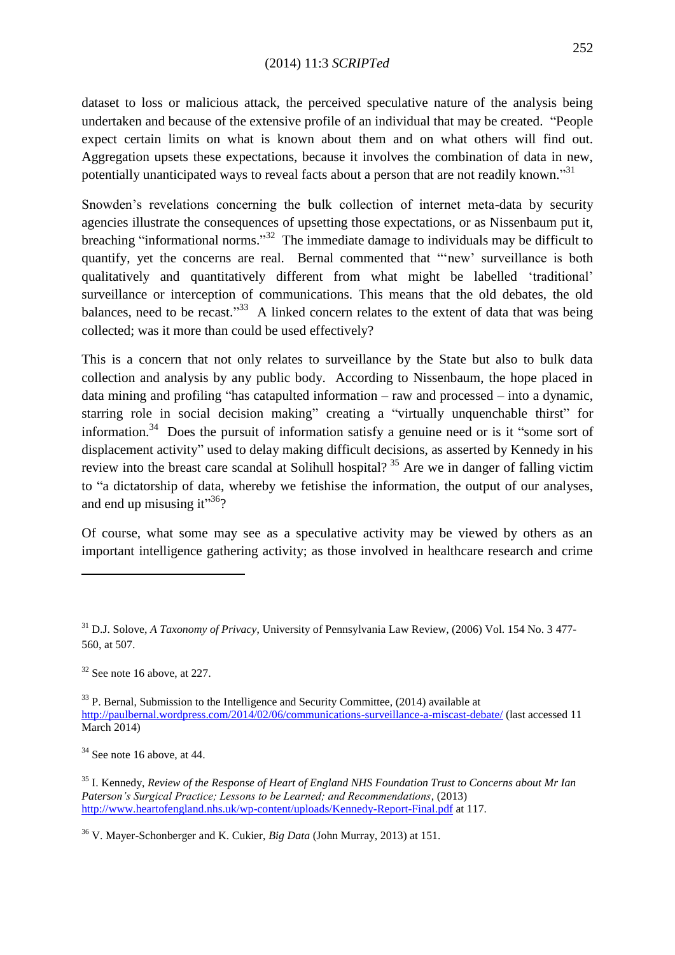dataset to loss or malicious attack, the perceived speculative nature of the analysis being undertaken and because of the extensive profile of an individual that may be created. "People expect certain limits on what is known about them and on what others will find out. Aggregation upsets these expectations, because it involves the combination of data in new, potentially unanticipated ways to reveal facts about a person that are not readily known."<sup>31</sup>

Snowden"s revelations concerning the bulk collection of internet meta-data by security agencies illustrate the consequences of upsetting those expectations, or as Nissenbaum put it, breaching "informational norms."<sup>32</sup> The immediate damage to individuals may be difficult to quantify, yet the concerns are real. Bernal commented that ""new" surveillance is both qualitatively and quantitatively different from what might be labelled "traditional" surveillance or interception of communications. This means that the old debates, the old balances, need to be recast."<sup>33</sup> A linked concern relates to the extent of data that was being collected; was it more than could be used effectively?

This is a concern that not only relates to surveillance by the State but also to bulk data collection and analysis by any public body. According to Nissenbaum, the hope placed in data mining and profiling "has catapulted information – raw and processed – into a dynamic, starring role in social decision making" creating a "virtually unquenchable thirst" for information.<sup>34</sup> Does the pursuit of information satisfy a genuine need or is it "some sort of displacement activity" used to delay making difficult decisions, as asserted by Kennedy in his review into the breast care scandal at Solihull hospital?<sup>35</sup> Are we in danger of falling victim to "a dictatorship of data, whereby we fetishise the information, the output of our analyses, and end up misusing it" $36$ ?

Of course, what some may see as a speculative activity may be viewed by others as an important intelligence gathering activity; as those involved in healthcare research and crime

 $32$  See note 16 above, at 227.

1

 $33$  P. Bernal, Submission to the Intelligence and Security Committee, (2014) available at <http://paulbernal.wordpress.com/2014/02/06/communications-surveillance-a-miscast-debate/> (last accessed 11 March 2014)

 $34$  See note 16 above, at 44.

<sup>35</sup> I. Kennedy, *Review of the Response of Heart of England NHS Foundation Trust to Concerns about Mr Ian Paterson"s Surgical Practice; Lessons to be Learned; and Recommendations*, (2013) <http://www.heartofengland.nhs.uk/wp-content/uploads/Kennedy-Report-Final.pdf> at 117.

<sup>36</sup> V. Mayer-Schonberger and K. Cukier, *Big Data* (John Murray, 2013) at 151.

<sup>31</sup> D.J. Solove, *A Taxonomy of Privacy*, University of Pennsylvania Law Review, (2006) Vol. 154 No. 3 477- 560, at 507.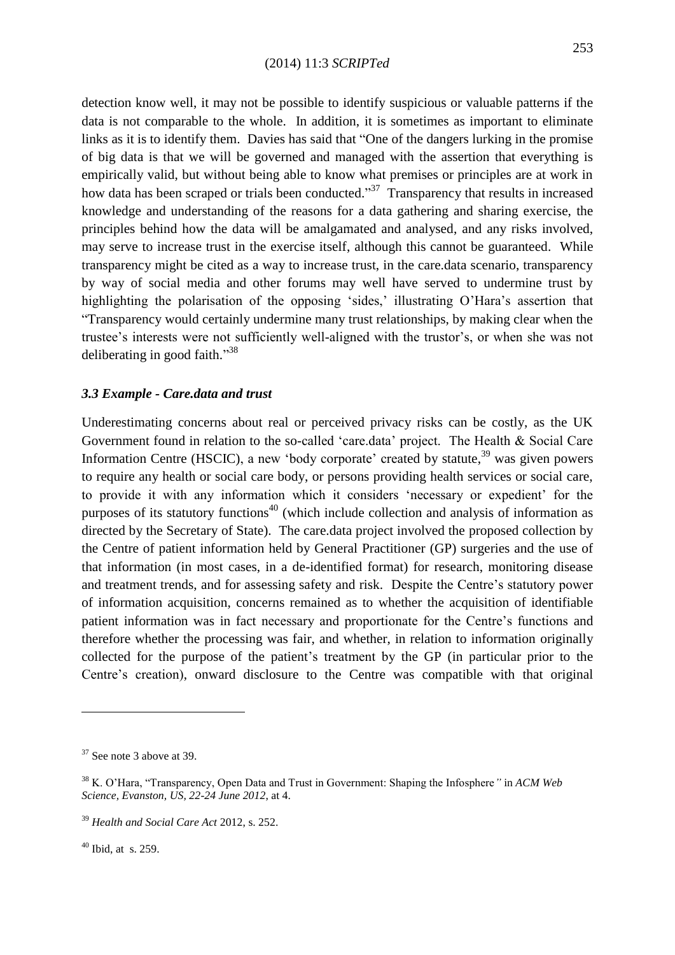detection know well, it may not be possible to identify suspicious or valuable patterns if the data is not comparable to the whole. In addition, it is sometimes as important to eliminate links as it is to identify them. Davies has said that "One of the dangers lurking in the promise of big data is that we will be governed and managed with the assertion that everything is empirically valid, but without being able to know what premises or principles are at work in how data has been scraped or trials been conducted."<sup>37</sup> Transparency that results in increased knowledge and understanding of the reasons for a data gathering and sharing exercise, the principles behind how the data will be amalgamated and analysed, and any risks involved, may serve to increase trust in the exercise itself, although this cannot be guaranteed. While transparency might be cited as a way to increase trust, in the care.data scenario, transparency by way of social media and other forums may well have served to undermine trust by highlighting the polarisation of the opposing 'sides,' illustrating O'Hara's assertion that "Transparency would certainly undermine many trust relationships, by making clear when the trustee's interests were not sufficiently well-aligned with the trustor's, or when she was not deliberating in good faith."<sup>38</sup>

#### *3.3 Example - Care.data and trust*

Underestimating concerns about real or perceived privacy risks can be costly, as the UK Government found in relation to the so-called "care.data" project. The Health & Social Care Information Centre (HSCIC), a new 'body corporate' created by statute,  $39$  was given powers to require any health or social care body, or persons providing health services or social care, to provide it with any information which it considers "necessary or expedient" for the purposes of its statutory functions<sup>40</sup> (which include collection and analysis of information as directed by the Secretary of State). The care.data project involved the proposed collection by the Centre of patient information held by General Practitioner (GP) surgeries and the use of that information (in most cases, in a de-identified format) for research, monitoring disease and treatment trends, and for assessing safety and risk. Despite the Centre's statutory power of information acquisition, concerns remained as to whether the acquisition of identifiable patient information was in fact necessary and proportionate for the Centre"s functions and therefore whether the processing was fair, and whether, in relation to information originally collected for the purpose of the patient"s treatment by the GP (in particular prior to the Centre's creation), onward disclosure to the Centre was compatible with that original

<sup>37</sup> See note 3 above at 39.

<sup>38</sup> K. O"Hara, "Transparency, Open Data and Trust in Government: Shaping the Infosphere*"* in *ACM Web Science, Evanston, US, 22-24 June 2012*, at 4.

<sup>39</sup> *Health and Social Care Act* 2012, s. 252.

 $40$  Ibid, at s. 259.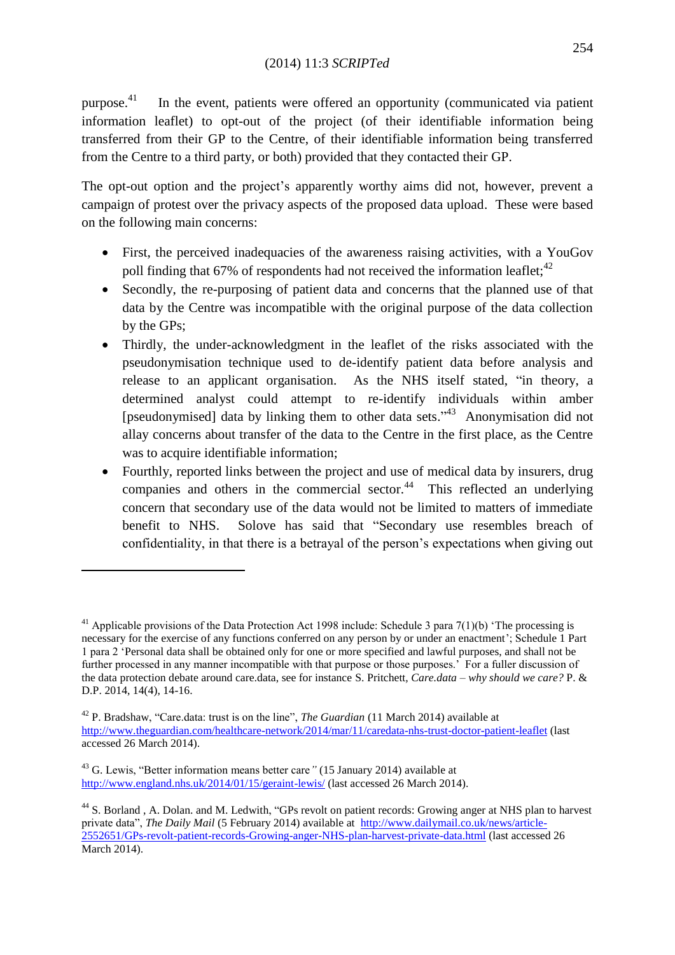purpose. 41 In the event, patients were offered an opportunity (communicated via patient information leaflet) to opt-out of the project (of their identifiable information being transferred from their GP to the Centre, of their identifiable information being transferred from the Centre to a third party, or both) provided that they contacted their GP.

The opt-out option and the project's apparently worthy aims did not, however, prevent a campaign of protest over the privacy aspects of the proposed data upload. These were based on the following main concerns:

- First, the perceived inadequacies of the awareness raising activities, with a YouGov poll finding that  $67\%$  of respondents had not received the information leaflet;<sup>42</sup>
- Secondly, the re-purposing of patient data and concerns that the planned use of that data by the Centre was incompatible with the original purpose of the data collection by the GPs;
- Thirdly, the under-acknowledgment in the leaflet of the risks associated with the pseudonymisation technique used to de-identify patient data before analysis and release to an applicant organisation. As the NHS itself stated, "in theory, a determined analyst could attempt to re-identify individuals within amber [pseudonymised] data by linking them to other data sets."<sup>43</sup> Anonymisation did not allay concerns about transfer of the data to the Centre in the first place, as the Centre was to acquire identifiable information;
- Fourthly, reported links between the project and use of medical data by insurers, drug companies and others in the commercial sector. $44$  This reflected an underlying concern that secondary use of the data would not be limited to matters of immediate benefit to NHS. Solove has said that "Secondary use resembles breach of confidentiality, in that there is a betrayal of the person"s expectations when giving out

 $\overline{\phantom{a}}$ 

<sup>&</sup>lt;sup>41</sup> Applicable provisions of the Data Protection Act 1998 include: Schedule 3 para  $7(1)(b)$  'The processing is necessary for the exercise of any functions conferred on any person by or under an enactment"; Schedule 1 Part 1 para 2 "Personal data shall be obtained only for one or more specified and lawful purposes, and shall not be further processed in any manner incompatible with that purpose or those purposes.<sup>7</sup> For a fuller discussion of the data protection debate around care.data, see for instance S. Pritchett*, Care.data – why should we care?* P. & D.P. 2014, 14(4), 14-16.

<sup>42</sup> P. Bradshaw, "Care.data: trust is on the line", *The Guardian* (11 March 2014) available at <http://www.theguardian.com/healthcare-network/2014/mar/11/caredata-nhs-trust-doctor-patient-leaflet> (last accessed 26 March 2014).

<sup>43</sup> G. Lewis, "Better information means better care*"* (15 January 2014) available at <http://www.england.nhs.uk/2014/01/15/geraint-lewis/> (last accessed 26 March 2014).

<sup>&</sup>lt;sup>44</sup> S. Borland, A. Dolan. and M. Ledwith, "GPs revolt on patient records: Growing anger at NHS plan to harvest private data", *The Daily Mail* (5 February 2014) available at [http://www.dailymail.co.uk/news/article-](http://www.dailymail.co.uk/news/article-2552651/GPs-revolt-patient-records-Growing-anger-NHS-plan-harvest-private-data.html)[2552651/GPs-revolt-patient-records-Growing-anger-NHS-plan-harvest-private-data.html](http://www.dailymail.co.uk/news/article-2552651/GPs-revolt-patient-records-Growing-anger-NHS-plan-harvest-private-data.html) (last accessed 26 March 2014).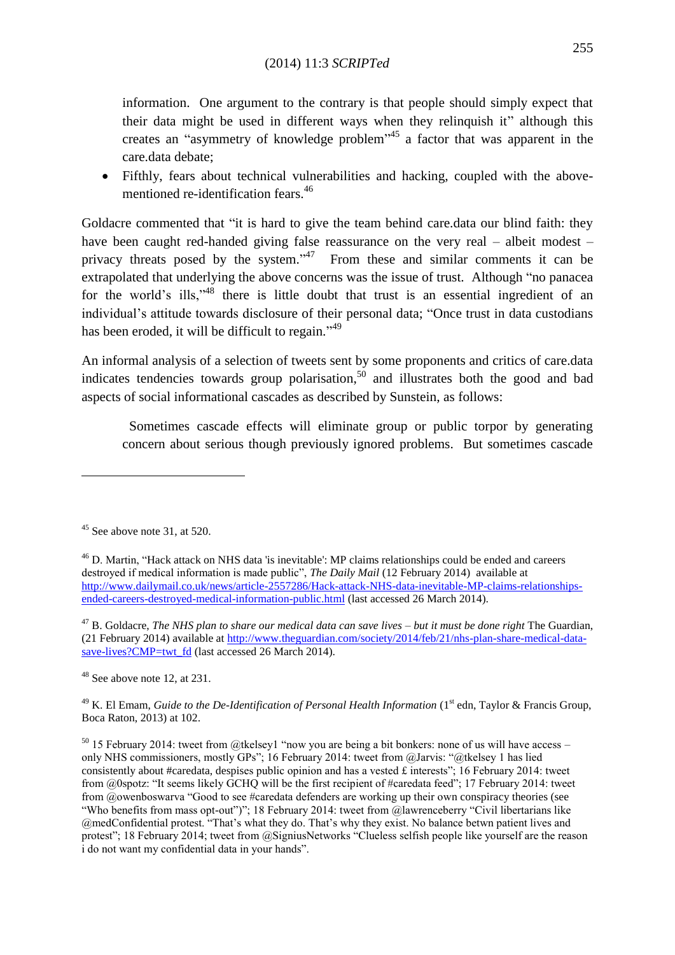information. One argument to the contrary is that people should simply expect that their data might be used in different ways when they relinquish it" although this creates an "asymmetry of knowledge problem"<sup>45</sup> a factor that was apparent in the care.data debate;

 Fifthly, fears about technical vulnerabilities and hacking, coupled with the abovementioned re-identification fears. 46

Goldacre commented that "it is hard to give the team behind care.data our blind faith: they have been caught red-handed giving false reassurance on the very real – albeit modest – privacy threats posed by the system."<sup>47</sup> From these and similar comments it can be extrapolated that underlying the above concerns was the issue of trust. Although "no panacea for the world's ills,"<sup>48</sup> there is little doubt that trust is an essential ingredient of an individual"s attitude towards disclosure of their personal data; "Once trust in data custodians has been eroded, it will be difficult to regain."<sup>49</sup>

An informal analysis of a selection of tweets sent by some proponents and critics of care.data indicates tendencies towards group polarisation,<sup>50</sup> and illustrates both the good and bad aspects of social informational cascades as described by Sunstein, as follows:

 Sometimes cascade effects will eliminate group or public torpor by generating concern about serious though previously ignored problems. But sometimes cascade

1

<sup>48</sup> See above note 12, at 231.

<sup>49</sup> K. El Emam, *Guide to the De-Identification of Personal Health Information* (1<sup>st</sup> edn, Taylor & Francis Group, Boca Raton, 2013) at 102.

 $50$  15 February 2014: tweet from @tkelsey1 "now you are being a bit bonkers: none of us will have access – only NHS commissioners, mostly GPs"; 16 February 2014: tweet from @Jarvis: "@tkelsey 1 has lied consistently about #caredata, despises public opinion and has a vested £ interests"; 16 February 2014: tweet from @0spotz: "It seems likely GCHQ will be the first recipient of #caredata feed"; 17 February 2014: tweet from @owenboswarva "Good to see #caredata defenders are working up their own conspiracy theories (see "Who benefits from mass opt-out")"; 18 February 2014: tweet from @lawrenceberry "Civil libertarians like @medConfidential protest. "That's what they do. That's why they exist. No balance betwn patient lives and protest"; 18 February 2014; tweet from @SigniusNetworks "Clueless selfish people like yourself are the reason i do not want my confidential data in your hands".

 $45$  See above note 31, at 520.

<sup>46</sup> D. Martin, "Hack attack on NHS data 'is inevitable': MP claims relationships could be ended and careers destroyed if medical information is made public", *The Daily Mail* (12 February 2014) available at [http://www.dailymail.co.uk/news/article-2557286/Hack-attack-NHS-data-inevitable-MP-claims-relationships](http://www.dailymail.co.uk/news/article-2557286/Hack-attack-NHS-data-inevitable-MP-claims-relationships-ended-careers-destroyed-medical-information-public.html)[ended-careers-destroyed-medical-information-public.html](http://www.dailymail.co.uk/news/article-2557286/Hack-attack-NHS-data-inevitable-MP-claims-relationships-ended-careers-destroyed-medical-information-public.html) (last accessed 26 March 2014).

<sup>47</sup> B. Goldacre, *The NHS plan to share our medical data can save lives – but it must be done right* The Guardian, (21 February 2014) available at [http://www.theguardian.com/society/2014/feb/21/nhs-plan-share-medical-data](http://www.theguardian.com/society/2014/feb/21/nhs-plan-share-medical-data-save-lives?CMP=twt_fd)[save-lives?CMP=twt\\_fd](http://www.theguardian.com/society/2014/feb/21/nhs-plan-share-medical-data-save-lives?CMP=twt_fd) (last accessed 26 March 2014).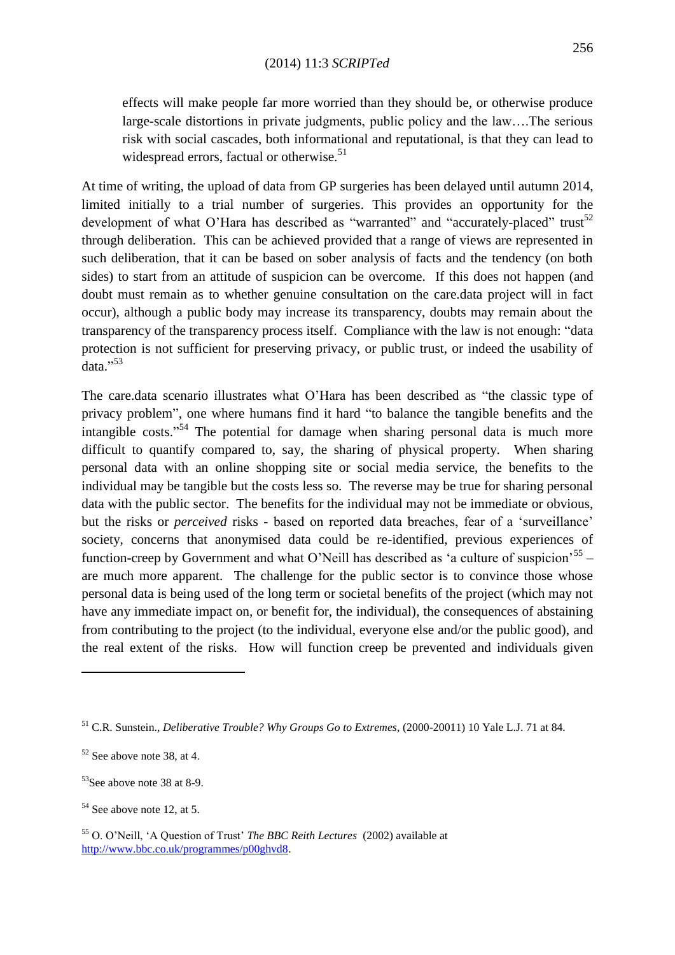effects will make people far more worried than they should be, or otherwise produce large-scale distortions in private judgments, public policy and the law….The serious risk with social cascades, both informational and reputational, is that they can lead to widespread errors, factual or otherwise.<sup>51</sup>

At time of writing, the upload of data from GP surgeries has been delayed until autumn 2014, limited initially to a trial number of surgeries. This provides an opportunity for the development of what O'Hara has described as "warranted" and "accurately-placed" trust<sup>52</sup> through deliberation. This can be achieved provided that a range of views are represented in such deliberation, that it can be based on sober analysis of facts and the tendency (on both sides) to start from an attitude of suspicion can be overcome. If this does not happen (and doubt must remain as to whether genuine consultation on the care.data project will in fact occur), although a public body may increase its transparency, doubts may remain about the transparency of the transparency process itself. Compliance with the law is not enough: "data protection is not sufficient for preserving privacy, or public trust, or indeed the usability of data."<sup>53</sup>

The care.data scenario illustrates what O"Hara has been described as "the classic type of privacy problem", one where humans find it hard "to balance the tangible benefits and the intangible costs."<sup>54</sup> The potential for damage when sharing personal data is much more difficult to quantify compared to, say, the sharing of physical property. When sharing personal data with an online shopping site or social media service, the benefits to the individual may be tangible but the costs less so. The reverse may be true for sharing personal data with the public sector. The benefits for the individual may not be immediate or obvious, but the risks or *perceived* risks - based on reported data breaches, fear of a "surveillance" society, concerns that anonymised data could be re-identified, previous experiences of function-creep by Government and what O'Neill has described as 'a culture of suspicion'<sup>55</sup> – are much more apparent. The challenge for the public sector is to convince those whose personal data is being used of the long term or societal benefits of the project (which may not have any immediate impact on, or benefit for, the individual), the consequences of abstaining from contributing to the project (to the individual, everyone else and/or the public good), and the real extent of the risks. How will function creep be prevented and individuals given

<sup>51</sup> C.R. Sunstein., *Deliberative Trouble? Why Groups Go to Extremes*, (2000-20011) 10 Yale L.J. 71 at 84.

 $52$  See above note 38, at 4.

 $53$ See above note 38 at 8-9.

 $54$  See above note 12, at 5.

<sup>55</sup> O. O"Neill, "A Question of Trust" *The BBC Reith Lectures* (2002) available at [http://www.bbc.co.uk/programmes/p00ghvd8.](http://www.bbc.co.uk/programmes/p00ghvd8)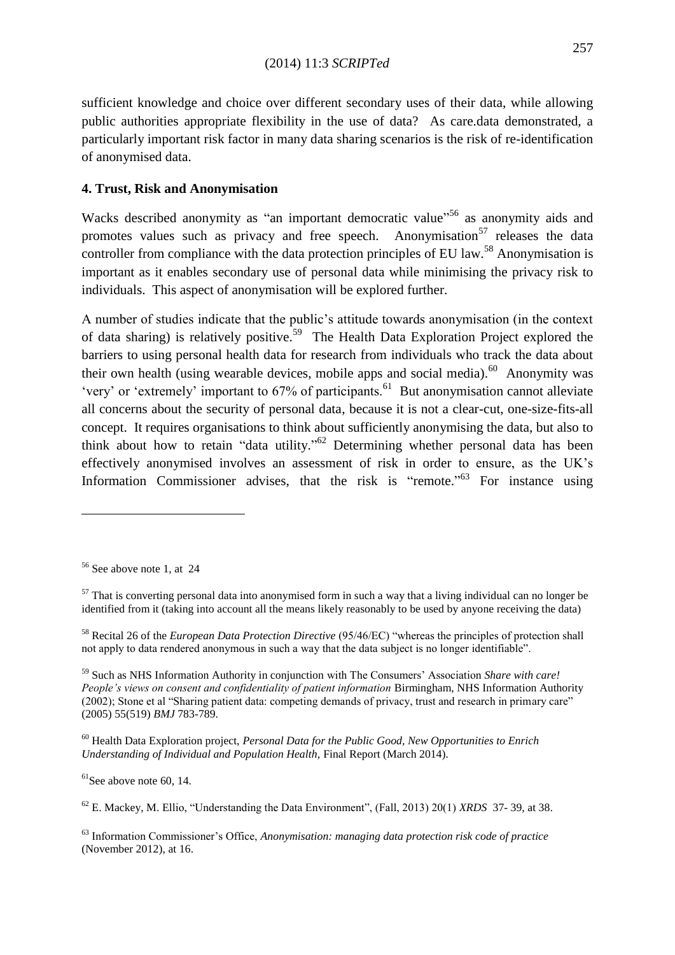sufficient knowledge and choice over different secondary uses of their data, while allowing public authorities appropriate flexibility in the use of data? As care.data demonstrated, a particularly important risk factor in many data sharing scenarios is the risk of re-identification of anonymised data.

# **4. Trust, Risk and Anonymisation**

Wacks described anonymity as "an important democratic value"<sup>56</sup> as anonymity aids and promotes values such as privacy and free speech. Anonymisation<sup>57</sup> releases the data controller from compliance with the data protection principles of EU law.<sup>58</sup> Anonymisation is important as it enables secondary use of personal data while minimising the privacy risk to individuals. This aspect of anonymisation will be explored further.

A number of studies indicate that the public"s attitude towards anonymisation (in the context of data sharing) is relatively positive.<sup>59</sup> The Health Data Exploration Project explored the barriers to using personal health data for research from individuals who track the data about their own health (using wearable devices, mobile apps and social media). $60$  Anonymity was 'very' or 'extremely' important to  $67\%$  of participants.<sup>61</sup> But anonymisation cannot alleviate all concerns about the security of personal data, because it is not a clear-cut, one-size-fits-all concept. It requires organisations to think about sufficiently anonymising the data, but also to think about how to retain "data utility."<sup>62</sup> Determining whether personal data has been effectively anonymised involves an assessment of risk in order to ensure, as the UK"s Information Commissioner advises, that the risk is "remote."<sup>63</sup> For instance using

**.** 

 $61$ See above note 60, 14.

<sup>56</sup> See above note 1, at 24

 $57$  That is converting personal data into anonymised form in such a way that a living individual can no longer be identified from it (taking into account all the means likely reasonably to be used by anyone receiving the data)

<sup>58</sup> Recital 26 of the *European Data Protection Directive* (95/46/EC) "whereas the principles of protection shall not apply to data rendered anonymous in such a way that the data subject is no longer identifiable".

<sup>59</sup> Such as NHS Information Authority in conjunction with The Consumers" Association *Share with care! People"s views on consent and confidentiality of patient information* Birmingham, NHS Information Authority (2002); Stone et al "Sharing patient data: competing demands of privacy, trust and research in primary care" (2005) 55(519) *BMJ* 783-789.

<sup>60</sup> Health Data Exploration project, *Personal Data for the Public Good, New Opportunities to Enrich Understanding of Individual and Population Health,* Final Report (March 2014).

<sup>62</sup> E. Mackey, M. Ellio, "Understanding the Data Environment", (Fall, 2013) 20(1) *XRDS* 37- 39, at 38.

<sup>63</sup> Information Commissioner"s Office, *Anonymisation: managing data protection risk code of practice* (November 2012), at 16.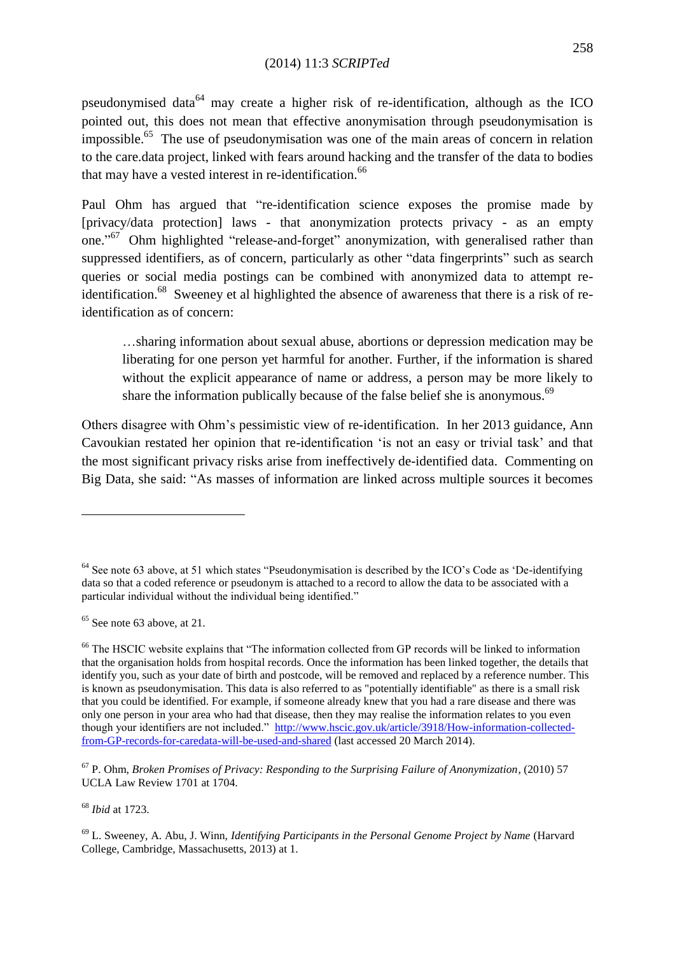pseudonymised data<sup>64</sup> may create a higher risk of re-identification, although as the ICO pointed out, this does not mean that effective anonymisation through pseudonymisation is impossible.<sup>65</sup> The use of pseudonymisation was one of the main areas of concern in relation to the care.data project, linked with fears around hacking and the transfer of the data to bodies that may have a vested interest in re-identification.<sup>66</sup>

Paul Ohm has argued that "re-identification science exposes the promise made by [privacy/data protection] laws - that anonymization protects privacy - as an empty one."<sup>67</sup> Ohm highlighted "release-and-forget" anonymization, with generalised rather than suppressed identifiers, as of concern, particularly as other "data fingerprints" such as search queries or social media postings can be combined with anonymized data to attempt reidentification.<sup>68</sup> Sweeney et al highlighted the absence of awareness that there is a risk of reidentification as of concern:

…sharing information about sexual abuse, abortions or depression medication may be liberating for one person yet harmful for another. Further, if the information is shared without the explicit appearance of name or address, a person may be more likely to share the information publically because of the false belief she is anonymous.<sup>69</sup>

Others disagree with Ohm"s pessimistic view of re-identification. In her 2013 guidance, Ann Cavoukian restated her opinion that re-identification "is not an easy or trivial task" and that the most significant privacy risks arise from ineffectively de-identified data. Commenting on Big Data, she said: "As masses of information are linked across multiple sources it becomes

 $65$  See note 63 above, at 21.

 $\overline{a}$ 

<sup>68</sup> *Ibid* at 1723.

<sup>69</sup> L. Sweeney, A. Abu, J. Winn, *Identifying Participants in the Personal Genome Project by Name* (Harvard College, Cambridge, Massachusetts, 2013) at 1.

<sup>&</sup>lt;sup>64</sup> See note 63 above, at 51 which states "Pseudonymisation is described by the ICO's Code as 'De-identifying data so that a coded reference or pseudonym is attached to a record to allow the data to be associated with a particular individual without the individual being identified."

<sup>&</sup>lt;sup>66</sup> The HSCIC website explains that "The information collected from GP records will be linked to information that the organisation holds from hospital records. Once the information has been linked together, the details that identify you, such as your date of birth and postcode, will be removed and replaced by a reference number. This is known as pseudonymisation. This data is also referred to as "potentially identifiable" as there is a small risk that you could be identified. For example, if someone already knew that you had a rare disease and there was only one person in your area who had that disease, then they may realise the information relates to you even though your identifiers are not included." [http://www.hscic.gov.uk/article/3918/How-information-collected](http://www.hscic.gov.uk/article/3918/How-information-collected-from-GP-records-for-caredata-will-be-used-and-shared)[from-GP-records-for-caredata-will-be-used-and-shared](http://www.hscic.gov.uk/article/3918/How-information-collected-from-GP-records-for-caredata-will-be-used-and-shared) (last accessed 20 March 2014).

<sup>67</sup> P. Ohm, *Broken Promises of Privacy: Responding to the Surprising Failure of Anonymization*, (2010) 57 [UCLA Law Review 1701 a](http://papers.ssrn.com/sol3/papers.cfm?abstract_id=1450006##)t 1704.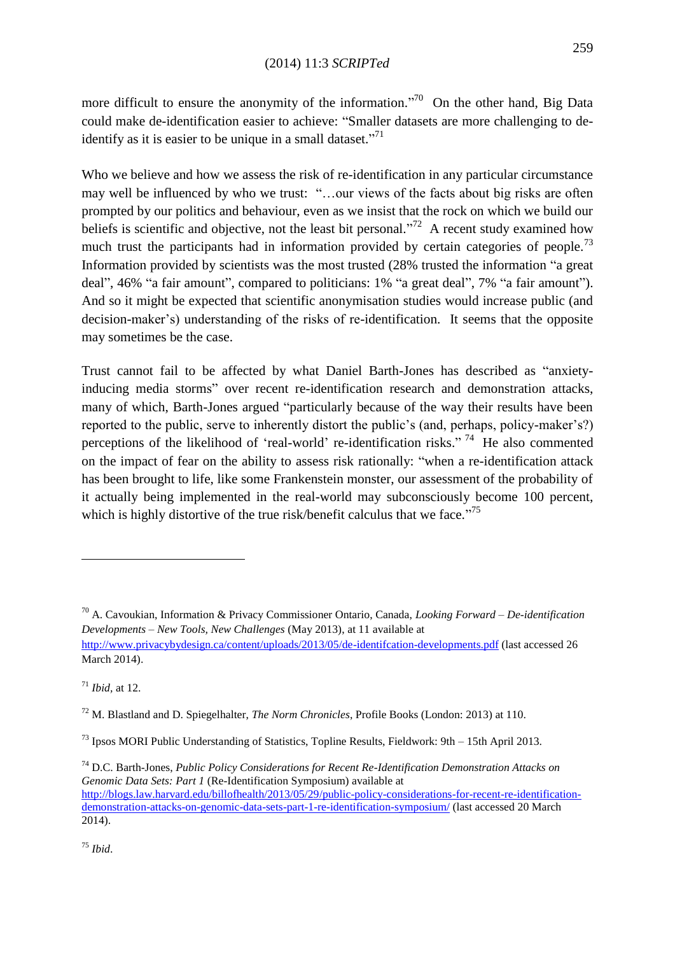more difficult to ensure the anonymity of the information."<sup>70</sup> On the other hand, Big Data could make de-identification easier to achieve: "Smaller datasets are more challenging to deidentify as it is easier to be unique in a small dataset."<sup>71</sup>

Who we believe and how we assess the risk of re-identification in any particular circumstance may well be influenced by who we trust: "…our views of the facts about big risks are often prompted by our politics and behaviour, even as we insist that the rock on which we build our beliefs is scientific and objective, not the least bit personal."<sup>72</sup> A recent study examined how much trust the participants had in information provided by certain categories of people.<sup>73</sup> Information provided by scientists was the most trusted (28% trusted the information "a great deal", 46% "a fair amount", compared to politicians: 1% "a great deal", 7% "a fair amount"). And so it might be expected that scientific anonymisation studies would increase public (and decision-maker's) understanding of the risks of re-identification. It seems that the opposite may sometimes be the case.

Trust cannot fail to be affected by what Daniel Barth-Jones has described as "anxietyinducing media storms" over recent re-identification research and demonstration attacks, many of which, Barth-Jones argued "particularly because of the way their results have been reported to the public, serve to inherently distort the public's (and, perhaps, policy-maker's?) perceptions of the likelihood of 'real-world' re-identification risks."<sup>74</sup> He also commented on the impact of fear on the ability to assess risk rationally: "when a re-identification attack has been brought to life, like some Frankenstein monster, our assessment of the probability of it actually being implemented in the real-world may subconsciously become 100 percent, which is highly distortive of the true risk/benefit calculus that we face."<sup>75</sup>

**.** 

<sup>74</sup> D.C. Barth-Jones, *Public Policy Considerations for Recent Re-Identification Demonstration Attacks on Genomic Data Sets: Part 1* (Re-Identification Symposium) available at [http://blogs.law.harvard.edu/billofhealth/2013/05/29/public-policy-considerations-for-recent-re-identification](http://blogs.law.harvard.edu/billofhealth/2013/05/29/public-policy-considerations-for-recent-re-identification-demonstration-attacks-on-genomic-data-sets-part-1-re-identification-symposium/)[demonstration-attacks-on-genomic-data-sets-part-1-re-identification-symposium/](http://blogs.law.harvard.edu/billofhealth/2013/05/29/public-policy-considerations-for-recent-re-identification-demonstration-attacks-on-genomic-data-sets-part-1-re-identification-symposium/) (last accessed 20 March 2014).

<sup>75</sup> *Ibid*.

<sup>70</sup> A. Cavoukian, Information & Privacy Commissioner Ontario, Canada, *Looking Forward – De-identification Developments – New Tools, New Challenges* (May 2013), at 11 available at <http://www.privacybydesign.ca/content/uploads/2013/05/de-identifcation-developments.pdf> (last accessed 26 March 2014).

<sup>71</sup> *Ibid,* at 12.

<sup>72</sup> M. Blastland and D. Spiegelhalter, *The Norm Chronicles*, Profile Books (London: 2013) at 110.

 $^{73}$  Ipsos MORI Public Understanding of Statistics, Topline Results, Fieldwork: 9th – 15th April 2013.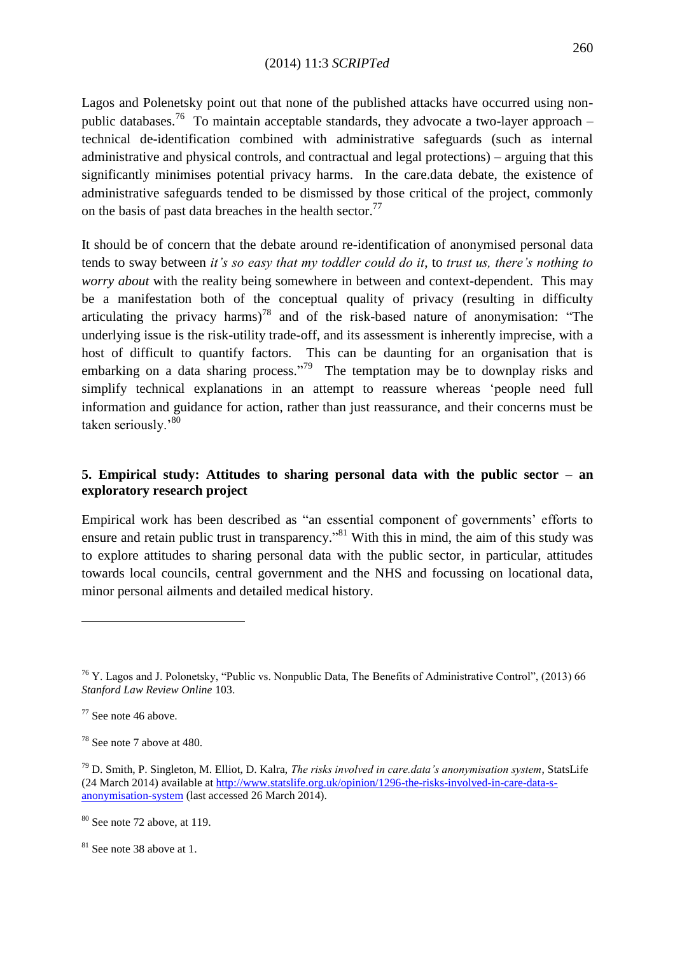Lagos and Polenetsky point out that none of the published attacks have occurred using nonpublic databases.<sup>76</sup> To maintain acceptable standards, they advocate a two-layer approach – technical de-identification combined with administrative safeguards (such as internal administrative and physical controls, and contractual and legal protections) – arguing that this significantly minimises potential privacy harms. In the care.data debate, the existence of administrative safeguards tended to be dismissed by those critical of the project, commonly on the basis of past data breaches in the health sector.<sup>77</sup>

It should be of concern that the debate around re-identification of anonymised personal data tends to sway between *it"s so easy that my toddler could do it*, to *trust us, there"s nothing to worry about* with the reality being somewhere in between and context-dependent. This may be a manifestation both of the conceptual quality of privacy (resulting in difficulty articulating the privacy harms)<sup>78</sup> and of the risk-based nature of anonymisation: "The underlying issue is the risk-utility trade-off, and its assessment is inherently imprecise, with a host of difficult to quantify factors. This can be daunting for an organisation that is embarking on a data sharing process."<sup>79</sup> The temptation may be to downplay risks and simplify technical explanations in an attempt to reassure whereas "people need full information and guidance for action, rather than just reassurance, and their concerns must be taken seriously.'80

# **5. Empirical study: Attitudes to sharing personal data with the public sector – an exploratory research project**

Empirical work has been described as "an essential component of governments' efforts to ensure and retain public trust in transparency."<sup>81</sup> With this in mind, the aim of this study was to explore attitudes to sharing personal data with the public sector, in particular, attitudes towards local councils, central government and the NHS and focussing on locational data, minor personal ailments and detailed medical history.

<sup>76</sup> Y. Lagos and J. Polonetsky, "Public vs. Nonpublic Data, The Benefits of Administrative Control", (2013) 66 *Stanford Law Review Online* 103.

<sup>77</sup> See note 46 above.

<sup>78</sup> See note 7 above at 480.

<sup>79</sup> D. Smith, P. Singleton, M. Elliot, D. Kalra, *The risks involved in care.data"s anonymisation system*, StatsLife (24 March 2014) available a[t http://www.statslife.org.uk/opinion/1296-the-risks-involved-in-care-data-s](http://www.statslife.org.uk/opinion/1296-the-risks-involved-in-care-data-s-anonymisation-system)[anonymisation-system](http://www.statslife.org.uk/opinion/1296-the-risks-involved-in-care-data-s-anonymisation-system) (last accessed 26 March 2014).

 $80$  See note 72 above, at 119.

<sup>&</sup>lt;sup>81</sup> See note 38 above at 1.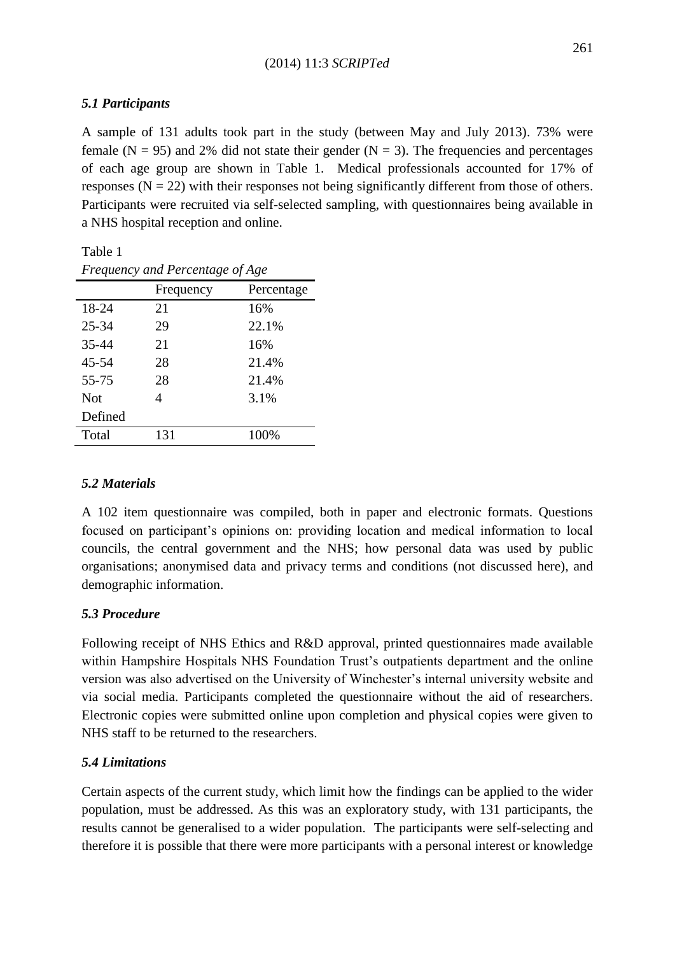# *5.1 Participants*

Table 1

A sample of 131 adults took part in the study (between May and July 2013). 73% were female ( $N = 95$ ) and 2% did not state their gender ( $N = 3$ ). The frequencies and percentages of each age group are shown in Table 1. Medical professionals accounted for 17% of responses ( $N = 22$ ) with their responses not being significantly different from those of others. Participants were recruited via self-selected sampling, with questionnaires being available in a NHS hospital reception and online.

| Frequency and Percentage of Age |                |            |  |  |  |  |
|---------------------------------|----------------|------------|--|--|--|--|
|                                 | Frequency      | Percentage |  |  |  |  |
| 18-24                           | 21             | 16%        |  |  |  |  |
| $25 - 34$                       | 29             | 22.1%      |  |  |  |  |
| 35-44                           | 21             | 16%        |  |  |  |  |
| 45-54                           | 28             | 21.4%      |  |  |  |  |
| 55-75                           | 28             | 21.4%      |  |  |  |  |
| <b>Not</b>                      | $\overline{4}$ | 3.1%       |  |  |  |  |
| Defined                         |                |            |  |  |  |  |
| Total                           | 131            | 100%       |  |  |  |  |

# *5.2 Materials*

A 102 item questionnaire was compiled, both in paper and electronic formats. Questions focused on participant"s opinions on: providing location and medical information to local councils, the central government and the NHS; how personal data was used by public organisations; anonymised data and privacy terms and conditions (not discussed here), and demographic information.

# *5.3 Procedure*

Following receipt of NHS Ethics and R&D approval, printed questionnaires made available within Hampshire Hospitals NHS Foundation Trust's outpatients department and the online version was also advertised on the University of Winchester"s internal university website and via social media. Participants completed the questionnaire without the aid of researchers. Electronic copies were submitted online upon completion and physical copies were given to NHS staff to be returned to the researchers.

# *5.4 Limitations*

Certain aspects of the current study, which limit how the findings can be applied to the wider population, must be addressed. As this was an exploratory study, with 131 participants, the results cannot be generalised to a wider population. The participants were self-selecting and therefore it is possible that there were more participants with a personal interest or knowledge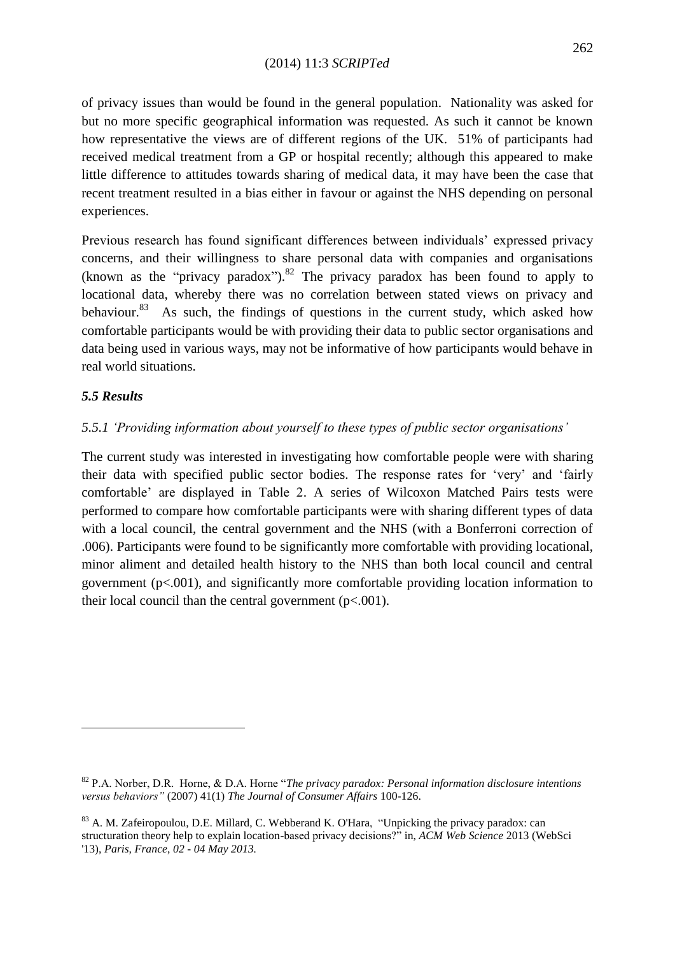of privacy issues than would be found in the general population. Nationality was asked for but no more specific geographical information was requested. As such it cannot be known how representative the views are of different regions of the UK. 51% of participants had received medical treatment from a GP or hospital recently; although this appeared to make little difference to attitudes towards sharing of medical data, it may have been the case that recent treatment resulted in a bias either in favour or against the NHS depending on personal experiences.

Previous research has found significant differences between individuals" expressed privacy concerns, and their willingness to share personal data with companies and organisations (known as the "privacy paradox"). <sup>82</sup> The privacy paradox has been found to apply to locational data, whereby there was no correlation between stated views on privacy and behaviour.<sup>83</sup> As such, the findings of questions in the current study, which asked how comfortable participants would be with providing their data to public sector organisations and data being used in various ways, may not be informative of how participants would behave in real world situations.

# *5.5 Results*

1

# *5.5.1 "Providing information about yourself to these types of public sector organisations"*

The current study was interested in investigating how comfortable people were with sharing their data with specified public sector bodies. The response rates for "very" and "fairly comfortable" are displayed in Table 2. A series of Wilcoxon Matched Pairs tests were performed to compare how comfortable participants were with sharing different types of data with a local council, the central government and the NHS (with a Bonferroni correction of .006). Participants were found to be significantly more comfortable with providing locational, minor aliment and detailed health history to the NHS than both local council and central government (p<.001), and significantly more comfortable providing location information to their local council than the central government ( $p < .001$ ).

<sup>82</sup> P.A. Norber, D.R. Horne, & D.A. Horne "*The privacy paradox: Personal information disclosure intentions versus behaviors"* (2007) 41(1) *The Journal of Consumer Affairs* 100-126.

<sup>&</sup>lt;sup>83</sup> A. M. Zafeiropoulou, D.E. Millard, C. Webberand K. O'Hara, "Unpicking the privacy paradox: can structuration theory help to explain location-based privacy decisions?" in, *ACM Web Science* 2013 (WebSci '13), *Paris, France*, *02 - 04 May 2013.*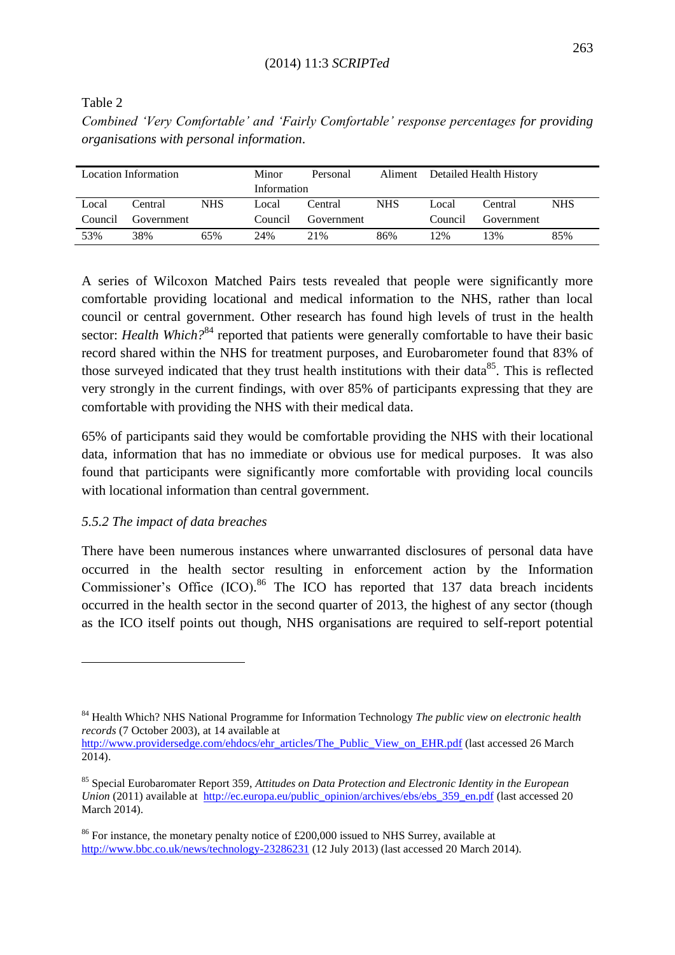Table 2

*Combined "Very Comfortable" and "Fairly Comfortable" response percentages for providing organisations with personal information*.

| Location Information |            |            | Minor       | Personal   | Aliment    | Detailed Health History |            |            |
|----------------------|------------|------------|-------------|------------|------------|-------------------------|------------|------------|
|                      |            |            | Information |            |            |                         |            |            |
| Local                | Central    | <b>NHS</b> | Local       | Central    | <b>NHS</b> | Local                   | Central    | <b>NHS</b> |
| Council              | Government |            | Council     | Government |            | Council                 | Government |            |
| 53%                  | 38%        | 65%        | 24%         | 21%        | 86%        | 12%                     | 3%         | 85%        |

A series of Wilcoxon Matched Pairs tests revealed that people were significantly more comfortable providing locational and medical information to the NHS, rather than local council or central government. Other research has found high levels of trust in the health sector: *Health Which*?<sup>84</sup> reported that patients were generally comfortable to have their basic record shared within the NHS for treatment purposes, and Eurobarometer found that 83% of those surveyed indicated that they trust health institutions with their data<sup>85</sup>. This is reflected very strongly in the current findings, with over 85% of participants expressing that they are comfortable with providing the NHS with their medical data.

65% of participants said they would be comfortable providing the NHS with their locational data, information that has no immediate or obvious use for medical purposes. It was also found that participants were significantly more comfortable with providing local councils with locational information than central government.

# *5.5.2 The impact of data breaches*

**.** 

There have been numerous instances where unwarranted disclosures of personal data have occurred in the health sector resulting in enforcement action by the Information Commissioner's Office (ICO).<sup>86</sup> The ICO has reported that 137 data breach incidents occurred in the health sector in the second quarter of 2013, the highest of any sector (though as the ICO itself points out though, NHS organisations are required to self-report potential

[http://www.providersedge.com/ehdocs/ehr\\_articles/The\\_Public\\_View\\_on\\_EHR.pdf](http://www.providersedge.com/ehdocs/ehr_articles/The_Public_View_on_EHR.pdf) (last accessed 26 March 2014).

<sup>84</sup> Health Which? NHS National Programme for Information Technology *The public view on electronic health records* (7 October 2003), at 14 available at

<sup>85</sup> Special Eurobaromater Report 359, *Attitudes on Data Protection and Electronic Identity in the European Union* (2011) available at http://ec.europa.eu/public\_opinion/archives/ebs/ebs 359\_en.pdf (last accessed 20 March 2014).

<sup>&</sup>lt;sup>86</sup> For instance, the monetary penalty notice of £200,000 issued to NHS Surrey, available at <http://www.bbc.co.uk/news/technology-23286231> (12 July 2013) (last accessed 20 March 2014).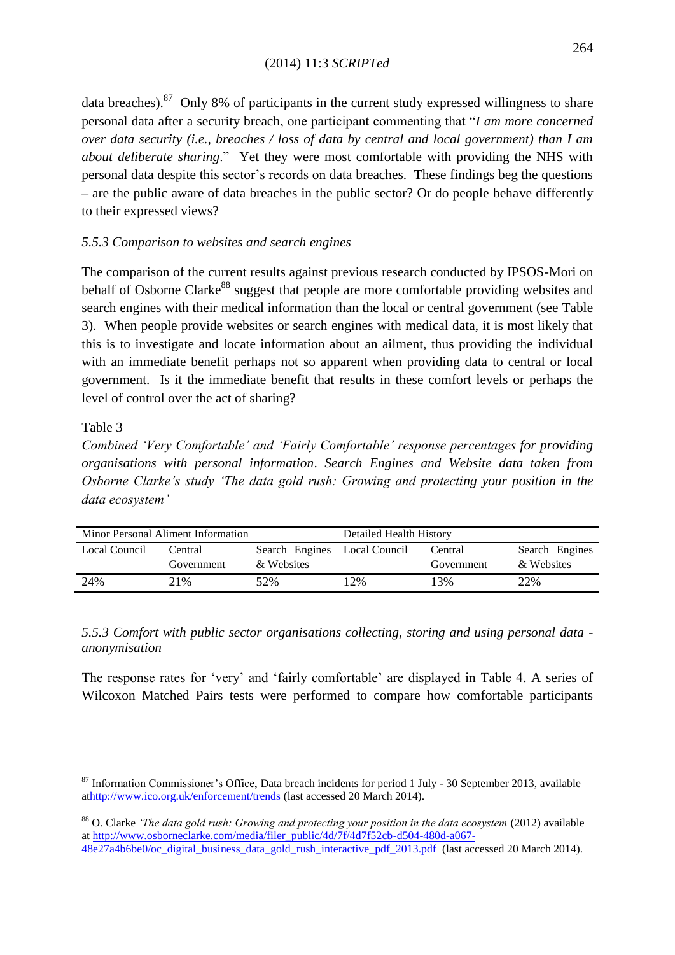data breaches). $87$  Only 8% of participants in the current study expressed willingness to share personal data after a security breach, one participant commenting that "*I am more concerned over data security (i.e., breaches / loss of data by central and local government) than I am about deliberate sharing*." Yet they were most comfortable with providing the NHS with personal data despite this sector"s records on data breaches. These findings beg the questions – are the public aware of data breaches in the public sector? Or do people behave differently to their expressed views?

# *5.5.3 Comparison to websites and search engines*

The comparison of the current results against previous research conducted by IPSOS-Mori on behalf of Osborne Clarke<sup>88</sup> suggest that people are more comfortable providing websites and search engines with their medical information than the local or central government (see Table 3). When people provide websites or search engines with medical data, it is most likely that this is to investigate and locate information about an ailment, thus providing the individual with an immediate benefit perhaps not so apparent when providing data to central or local government. Is it the immediate benefit that results in these comfort levels or perhaps the level of control over the act of sharing?

# Table 3

1

*Combined "Very Comfortable" and "Fairly Comfortable" response percentages for providing organisations with personal information*. *Search Engines and Website data taken from Osborne Clarke"s study "The data gold rush: Growing and protecting your position in the data ecosystem"*

| Minor Personal Aliment Information |            |                | Detailed Health History |            |                |  |
|------------------------------------|------------|----------------|-------------------------|------------|----------------|--|
| Local Council                      | Central    | Search Engines | Local Council           | Central    | Search Engines |  |
|                                    | Government | & Websites     |                         | Government | & Websites     |  |
| 24%                                | 21%        | 52%            | 12%                     | 13%        | 22%            |  |

*5.5.3 Comfort with public sector organisations collecting, storing and using personal data anonymisation*

The response rates for "very" and "fairly comfortable" are displayed in Table 4. A series of Wilcoxon Matched Pairs tests were performed to compare how comfortable participants

<sup>&</sup>lt;sup>87</sup> Information Commissioner's Office, Data breach incidents for period 1 July - 30 September 2013, available a[thttp://www.ico.org.uk/enforcement/trends](http://www.ico.org.uk/enforcement/trends) (last accessed 20 March 2014).

<sup>88</sup> O. Clarke *"The data gold rush: Growing and protecting your position in the data ecosystem* (2012) available a[t http://www.osborneclarke.com/media/filer\\_public/4d/7f/4d7f52cb-d504-480d-a067-](http://www.osborneclarke.com/media/filer_public/4d/7f/4d7f52cb-d504-480d-a067-48e27a4b6be0/oc_digital_business_data_gold_rush_interactive_pdf_2013.pdf) [48e27a4b6be0/oc\\_digital\\_business\\_data\\_gold\\_rush\\_interactive\\_pdf\\_2013.pdf](http://www.osborneclarke.com/media/filer_public/4d/7f/4d7f52cb-d504-480d-a067-48e27a4b6be0/oc_digital_business_data_gold_rush_interactive_pdf_2013.pdf) (last accessed 20 March 2014).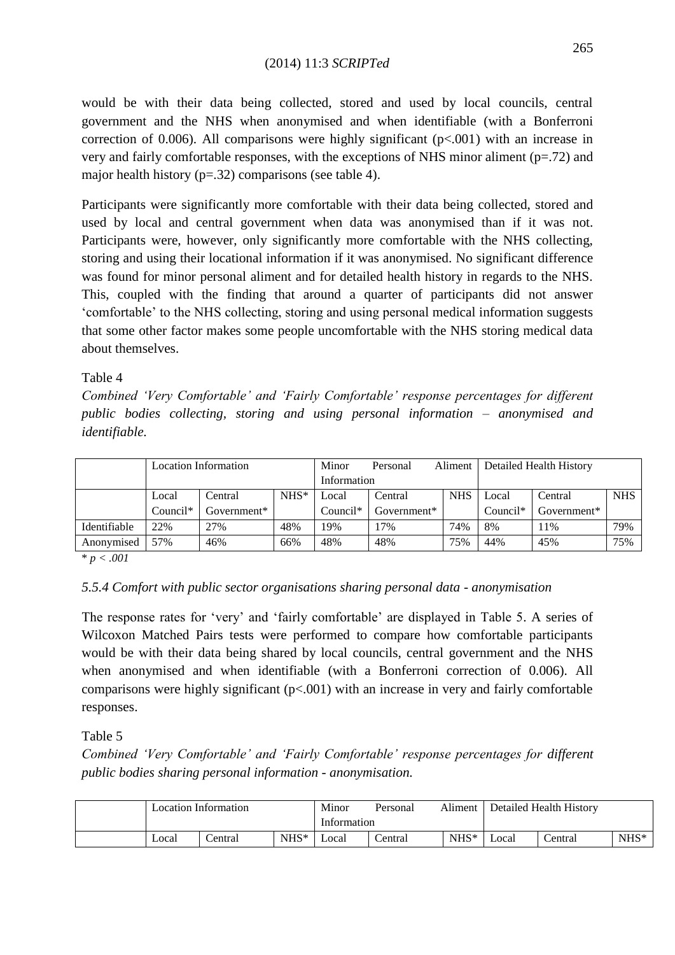would be with their data being collected, stored and used by local councils, central government and the NHS when anonymised and when identifiable (with a Bonferroni correction of 0.006). All comparisons were highly significant  $(p< 0.001)$  with an increase in very and fairly comfortable responses, with the exceptions of NHS minor aliment (p=.72) and major health history ( $p=32$ ) comparisons (see table 4).

Participants were significantly more comfortable with their data being collected, stored and used by local and central government when data was anonymised than if it was not. Participants were, however, only significantly more comfortable with the NHS collecting, storing and using their locational information if it was anonymised. No significant difference was found for minor personal aliment and for detailed health history in regards to the NHS. This, coupled with the finding that around a quarter of participants did not answer "comfortable" to the NHS collecting, storing and using personal medical information suggests that some other factor makes some people uncomfortable with the NHS storing medical data about themselves.

# Table 4

*Combined "Very Comfortable" and "Fairly Comfortable" response percentages for different public bodies collecting, storing and using personal information – anonymised and identifiable.*

|              | <b>Location Information</b> |                |         | Minor       | Personal    | Aliment    | Detailed Health History |             |            |
|--------------|-----------------------------|----------------|---------|-------------|-------------|------------|-------------------------|-------------|------------|
|              |                             |                |         | Information |             |            |                         |             |            |
|              | Local                       | Central        | $NHS^*$ | .ocal       | Central     | <b>NHS</b> | Local                   | Central     | <b>NHS</b> |
|              | $Count^*$                   | Government $*$ |         | $Count^*$   | Government* |            | $Count^*$               | Government* |            |
| Identifiable | 22%                         | 27%            | 48%     | 19%         | 17%         | 74%        | 8%                      | 11%         | 79%        |
| Anonymised   | 57%                         | 46%            | 66%     | 48%         | 48%         | 75%        | 44%                     | 45%         | 75%        |

\* *p < .001*

# *5.5.4 Comfort with public sector organisations sharing personal data - anonymisation*

The response rates for "very" and "fairly comfortable" are displayed in Table 5. A series of Wilcoxon Matched Pairs tests were performed to compare how comfortable participants would be with their data being shared by local councils, central government and the NHS when anonymised and when identifiable (with a Bonferroni correction of 0.006). All comparisons were highly significant  $(p<.001)$  with an increase in very and fairly comfortable responses.

Table 5

*Combined "Very Comfortable" and "Fairly Comfortable" response percentages for different public bodies sharing personal information - anonymisation.*

| <b>Location Information</b> |         |         | Minor       | Personal | Aliment | Detailed Health History |         |         |
|-----------------------------|---------|---------|-------------|----------|---------|-------------------------|---------|---------|
|                             |         |         | Information |          |         |                         |         |         |
| Local                       | Central | $NHS^*$ | ∟ocal       | Central  | $NHS^*$ | Local                   | Central | $NHS^*$ |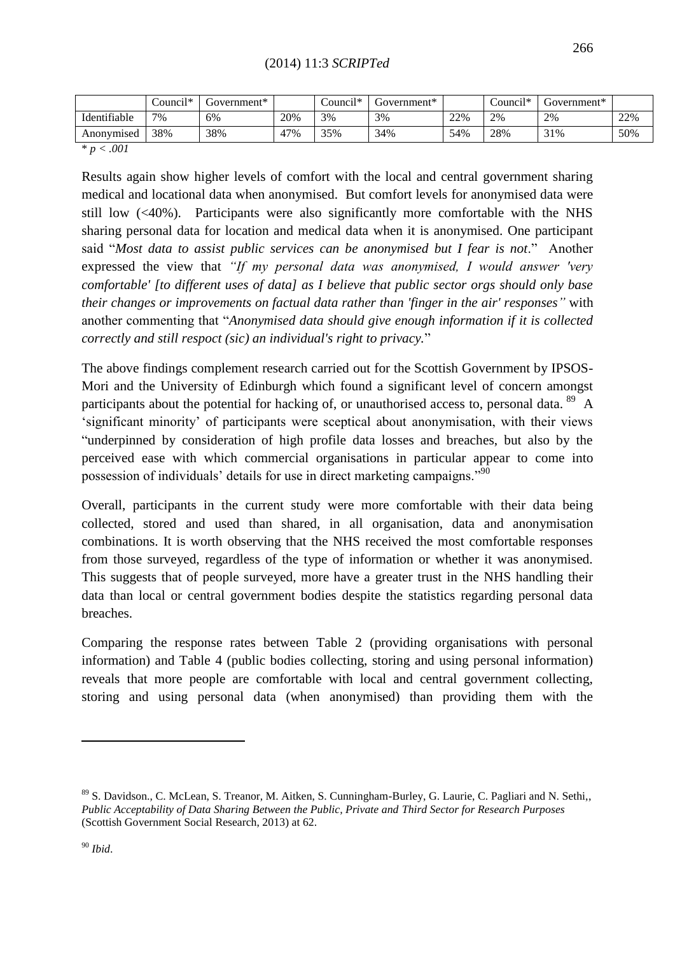|              | $1 +$<br>council* | Government* |     | $+1 +$<br>$\text{\degree}$ council* | Government* |     | $+1.5$<br>$\text{\_}$ ouncil <sup>*</sup> | Government* |     |
|--------------|-------------------|-------------|-----|-------------------------------------|-------------|-----|-------------------------------------------|-------------|-----|
| Identifiable | 7%                | 6%          | 20% | 3%                                  | 3%          | 22% | 2%                                        | 2%          | 22% |
| Anonymised   | 38%               | 38%         | 47% | 35%                                 | 34%         | 54% | 28%                                       | 31%         | 50% |

\* *p < .001*

Results again show higher levels of comfort with the local and central government sharing medical and locational data when anonymised. But comfort levels for anonymised data were still low (<40%). Participants were also significantly more comfortable with the NHS sharing personal data for location and medical data when it is anonymised. One participant said "*Most data to assist public services can be anonymised but I fear is not*." Another expressed the view that *"If my personal data was anonymised, I would answer 'very comfortable' [to different uses of data] as I believe that public sector orgs should only base their changes or improvements on factual data rather than 'finger in the air' responses"* with another commenting that "*Anonymised data should give enough information if it is collected correctly and still respoct (sic) an individual's right to privacy.*"

The above findings complement research carried out for the Scottish Government by IPSOS-Mori and the University of Edinburgh which found a significant level of concern amongst participants about the potential for hacking of, or unauthorised access to, personal data.  $89\,$  A "significant minority" of participants were sceptical about anonymisation, with their views "underpinned by consideration of high profile data losses and breaches, but also by the perceived ease with which commercial organisations in particular appear to come into possession of individuals' details for use in direct marketing campaigns."<sup>90</sup>

Overall, participants in the current study were more comfortable with their data being collected, stored and used than shared, in all organisation, data and anonymisation combinations. It is worth observing that the NHS received the most comfortable responses from those surveyed, regardless of the type of information or whether it was anonymised. This suggests that of people surveyed, more have a greater trust in the NHS handling their data than local or central government bodies despite the statistics regarding personal data breaches.

Comparing the response rates between Table 2 (providing organisations with personal information) and Table 4 (public bodies collecting, storing and using personal information) reveals that more people are comfortable with local and central government collecting, storing and using personal data (when anonymised) than providing them with the

<sup>&</sup>lt;sup>89</sup> S. Davidson., C. McLean, S. Treanor, M. Aitken, S. Cunningham-Burley, G. Laurie, C. Pagliari and N. Sethi,, *Public Acceptability of Data Sharing Between the Public, Private and Third Sector for Research Purposes* (Scottish Government Social Research, 2013) at 62.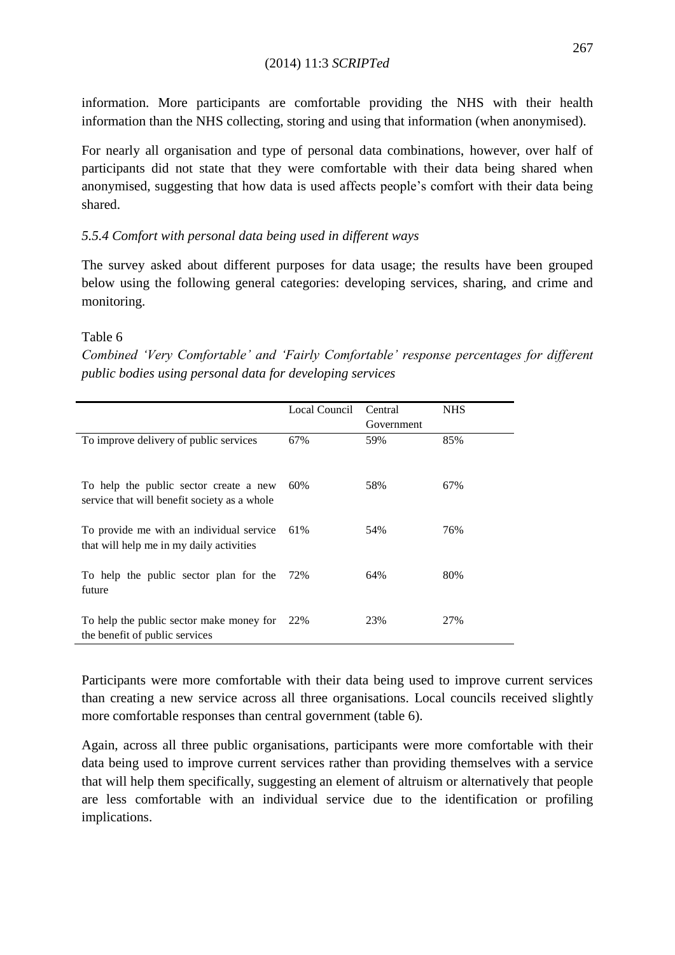information. More participants are comfortable providing the NHS with their health information than the NHS collecting, storing and using that information (when anonymised).

For nearly all organisation and type of personal data combinations, however, over half of participants did not state that they were comfortable with their data being shared when anonymised, suggesting that how data is used affects people"s comfort with their data being shared.

# *5.5.4 Comfort with personal data being used in different ways*

The survey asked about different purposes for data usage; the results have been grouped below using the following general categories: developing services, sharing, and crime and monitoring.

# Table 6

*Combined "Very Comfortable" and "Fairly Comfortable" response percentages for different public bodies using personal data for developing services*

|                                                                                        | Local Council | Central    | <b>NHS</b> |
|----------------------------------------------------------------------------------------|---------------|------------|------------|
|                                                                                        |               | Government |            |
| To improve delivery of public services                                                 | 67%           | 59%        | 85%        |
| To help the public sector create a new<br>service that will benefit society as a whole | 60%           | 58%        | 67%        |
| To provide me with an individual service<br>that will help me in my daily activities   | 61%           | 54%        | 76%        |
| To help the public sector plan for the<br>future                                       | 72%           | 64%        | 80%        |
| To help the public sector make money for<br>the benefit of public services             | 22%           | 23%        | 27%        |

Participants were more comfortable with their data being used to improve current services than creating a new service across all three organisations. Local councils received slightly more comfortable responses than central government (table 6).

Again, across all three public organisations, participants were more comfortable with their data being used to improve current services rather than providing themselves with a service that will help them specifically, suggesting an element of altruism or alternatively that people are less comfortable with an individual service due to the identification or profiling implications.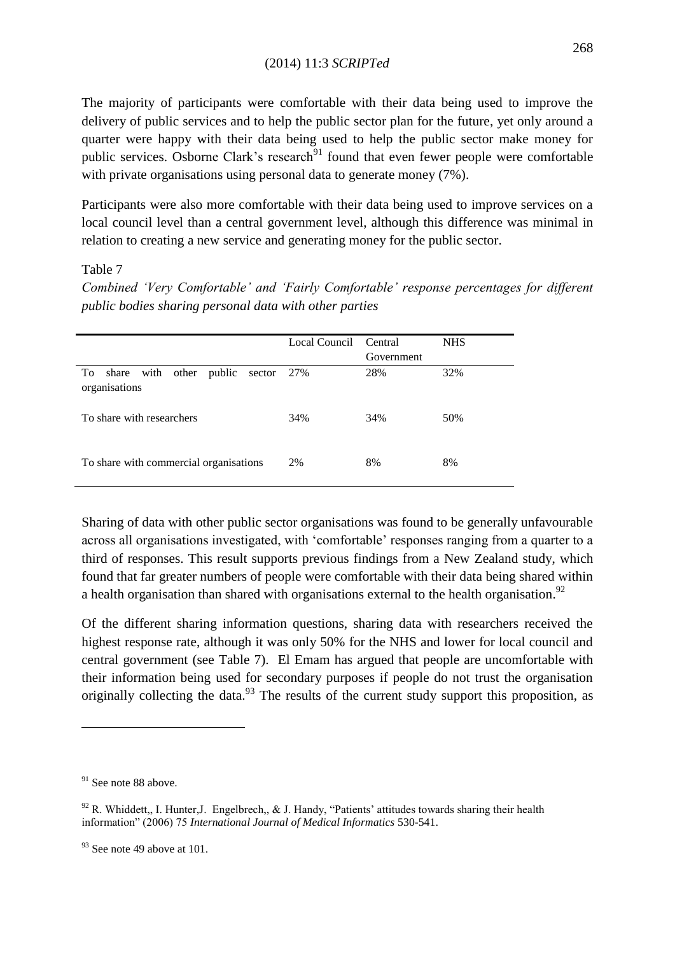The majority of participants were comfortable with their data being used to improve the delivery of public services and to help the public sector plan for the future, yet only around a quarter were happy with their data being used to help the public sector make money for public services. Osborne Clark's research $91$  found that even fewer people were comfortable with private organisations using personal data to generate money (7%).

Participants were also more comfortable with their data being used to improve services on a local council level than a central government level, although this difference was minimal in relation to creating a new service and generating money for the public sector.

# Table 7

*Combined "Very Comfortable" and "Fairly Comfortable" response percentages for different public bodies sharing personal data with other parties*

|                                                          | Local Council | Central    | <b>NHS</b> |
|----------------------------------------------------------|---------------|------------|------------|
|                                                          |               | Government |            |
| share with other public<br>To<br>sector<br>organisations | 27%           | 28%        | 32%        |
| To share with researchers                                | 34%           | 34%        | 50%        |
| To share with commercial organisations                   | 2%            | 8%         | 8%         |

Sharing of data with other public sector organisations was found to be generally unfavourable across all organisations investigated, with "comfortable" responses ranging from a quarter to a third of responses. This result supports previous findings from a New Zealand study, which found that far greater numbers of people were comfortable with their data being shared within a health organisation than shared with organisations external to the health organisation.<sup>92</sup>

Of the different sharing information questions, sharing data with researchers received the highest response rate, although it was only 50% for the NHS and lower for local council and central government (see Table 7). El Emam has argued that people are uncomfortable with their information being used for secondary purposes if people do not trust the organisation originally collecting the data.<sup>93</sup> The results of the current study support this proposition, as

 $91$  See note 88 above.

 $92$  R. Whiddett,, I. Hunter, J. Engelbrech,, & J. Handy, "Patients' attitudes towards sharing their health information" (2006) 75 *International Journal of Medical Informatics* 530-541.

 $93$  See note 49 above at 101.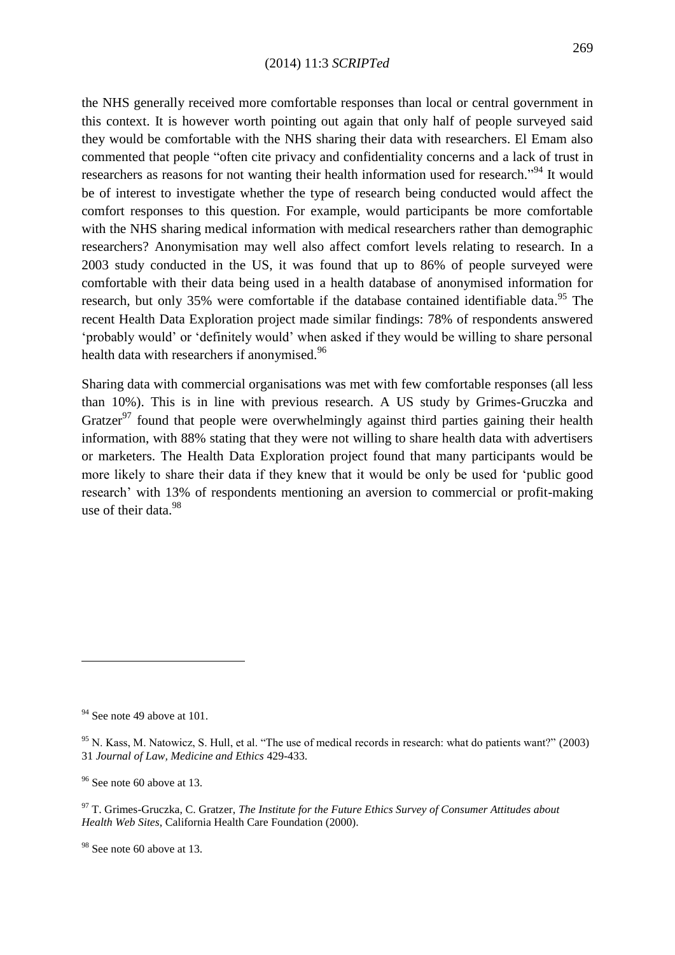the NHS generally received more comfortable responses than local or central government in this context. It is however worth pointing out again that only half of people surveyed said they would be comfortable with the NHS sharing their data with researchers. El Emam also commented that people "often cite privacy and confidentiality concerns and a lack of trust in researchers as reasons for not wanting their health information used for research."<sup>94</sup> It would be of interest to investigate whether the type of research being conducted would affect the comfort responses to this question. For example, would participants be more comfortable with the NHS sharing medical information with medical researchers rather than demographic researchers? Anonymisation may well also affect comfort levels relating to research. In a 2003 study conducted in the US, it was found that up to 86% of people surveyed were comfortable with their data being used in a health database of anonymised information for research, but only 35% were comfortable if the database contained identifiable data.<sup>95</sup> The recent Health Data Exploration project made similar findings: 78% of respondents answered "probably would" or "definitely would" when asked if they would be willing to share personal health data with researchers if anonymised.<sup>96</sup>

Sharing data with commercial organisations was met with few comfortable responses (all less than 10%). This is in line with previous research. A US study by Grimes-Gruczka and Gratzer<sup>97</sup> found that people were overwhelmingly against third parties gaining their health information, with 88% stating that they were not willing to share health data with advertisers or marketers. The Health Data Exploration project found that many participants would be more likely to share their data if they knew that it would be only be used for "public good research' with 13% of respondents mentioning an aversion to commercial or profit-making use of their data  $98$ 

<sup>&</sup>lt;sup>94</sup> See note 49 above at 101.

 $95$  N. Kass, M. Natowicz, S. Hull, et al. "The use of medical records in research: what do patients want?" (2003) 31 *Journal of Law, Medicine and Ethics* 429-433.

 $96$  See note 60 above at 13.

<sup>97</sup> T. Grimes-Gruczka, C. Gratzer, *The Institute for the Future Ethics Survey of Consumer Attitudes about Health Web Sites*, California Health Care Foundation (2000).

<sup>&</sup>lt;sup>98</sup> See note 60 above at 13.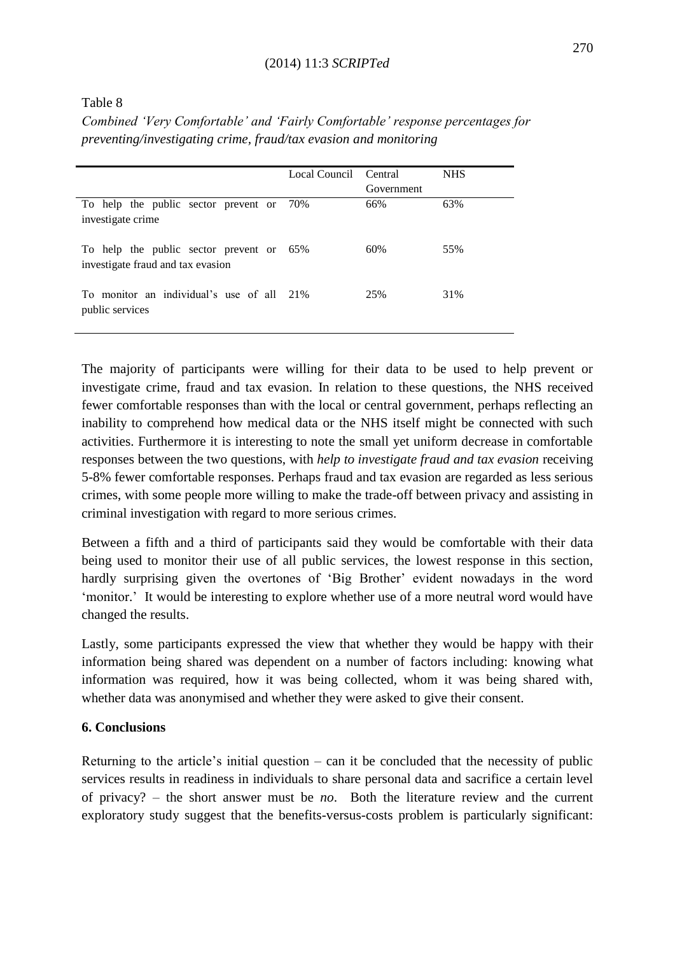Table 8

*Combined "Very Comfortable" and "Fairly Comfortable" response percentages for preventing/investigating crime, fraud/tax evasion and monitoring*

|                                                                               | Local Council Central |            | <b>NHS</b> |
|-------------------------------------------------------------------------------|-----------------------|------------|------------|
|                                                                               |                       | Government |            |
| To help the public sector prevent or 70%<br>investigate crime                 |                       | 66%        | 63%        |
| To help the public sector prevent or 65%<br>investigate fraud and tax evasion |                       | 60%        | 55%        |
| To monitor an individual's use of all 21%<br>public services                  |                       | 25%        | 31%        |

The majority of participants were willing for their data to be used to help prevent or investigate crime, fraud and tax evasion. In relation to these questions, the NHS received fewer comfortable responses than with the local or central government, perhaps reflecting an inability to comprehend how medical data or the NHS itself might be connected with such activities. Furthermore it is interesting to note the small yet uniform decrease in comfortable responses between the two questions, with *help to investigate fraud and tax evasion* receiving 5-8% fewer comfortable responses. Perhaps fraud and tax evasion are regarded as less serious crimes, with some people more willing to make the trade-off between privacy and assisting in criminal investigation with regard to more serious crimes.

Between a fifth and a third of participants said they would be comfortable with their data being used to monitor their use of all public services, the lowest response in this section, hardly surprising given the overtones of 'Big Brother' evident nowadays in the word "monitor." It would be interesting to explore whether use of a more neutral word would have changed the results.

Lastly, some participants expressed the view that whether they would be happy with their information being shared was dependent on a number of factors including: knowing what information was required, how it was being collected, whom it was being shared with, whether data was anonymised and whether they were asked to give their consent.

# **6. Conclusions**

Returning to the article's initial question – can it be concluded that the necessity of public services results in readiness in individuals to share personal data and sacrifice a certain level of privacy? – the short answer must be *no*. Both the literature review and the current exploratory study suggest that the benefits-versus-costs problem is particularly significant: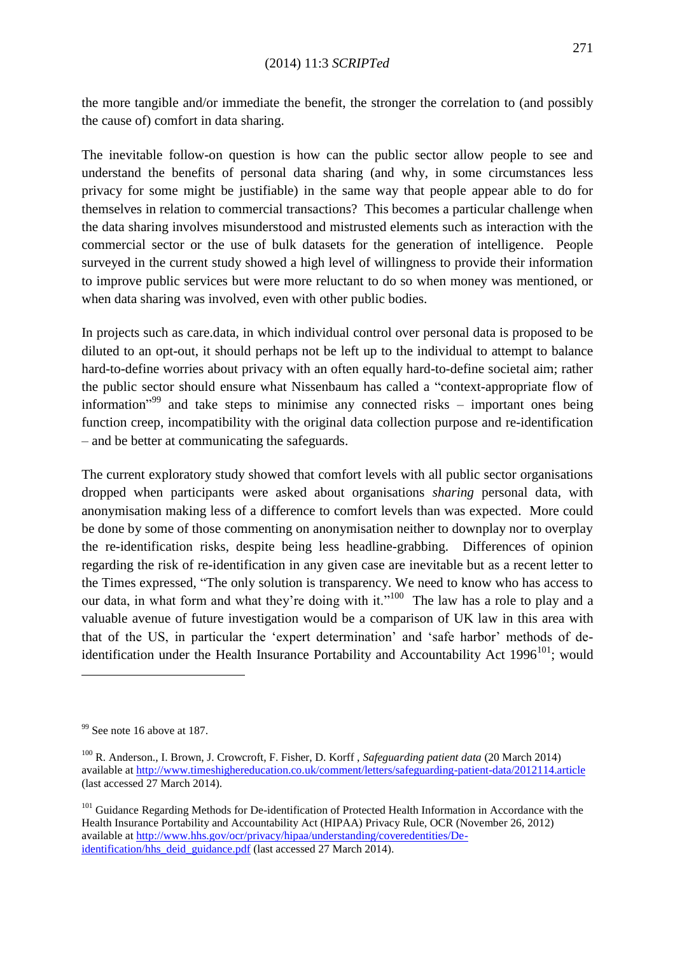the more tangible and/or immediate the benefit, the stronger the correlation to (and possibly the cause of) comfort in data sharing.

The inevitable follow-on question is how can the public sector allow people to see and understand the benefits of personal data sharing (and why, in some circumstances less privacy for some might be justifiable) in the same way that people appear able to do for themselves in relation to commercial transactions? This becomes a particular challenge when the data sharing involves misunderstood and mistrusted elements such as interaction with the commercial sector or the use of bulk datasets for the generation of intelligence. People surveyed in the current study showed a high level of willingness to provide their information to improve public services but were more reluctant to do so when money was mentioned, or when data sharing was involved, even with other public bodies.

In projects such as care.data, in which individual control over personal data is proposed to be diluted to an opt-out, it should perhaps not be left up to the individual to attempt to balance hard-to-define worries about privacy with an often equally hard-to-define societal aim; rather the public sector should ensure what Nissenbaum has called a "context-appropriate flow of information<sup>"99</sup> and take steps to minimise any connected risks – important ones being function creep, incompatibility with the original data collection purpose and re-identification – and be better at communicating the safeguards.

The current exploratory study showed that comfort levels with all public sector organisations dropped when participants were asked about organisations *sharing* personal data, with anonymisation making less of a difference to comfort levels than was expected. More could be done by some of those commenting on anonymisation neither to downplay nor to overplay the re-identification risks, despite being less headline-grabbing. Differences of opinion regarding the risk of re-identification in any given case are inevitable but as a recent letter to the Times expressed, "The only solution is transparency. We need to know who has access to our data, in what form and what they're doing with it."<sup>100</sup> The law has a role to play and a valuable avenue of future investigation would be a comparison of UK law in this area with that of the US, in particular the "expert determination" and "safe harbor" methods of deidentification under the Health Insurance Portability and Accountability Act  $1996^{101}$ ; would

1

 $99$  See note 16 above at 187.

<sup>100</sup> R. Anderson., I. Brown, J. Crowcroft, F. Fisher, D. Korff , *Safeguarding patient data* (20 March 2014) available at<http://www.timeshighereducation.co.uk/comment/letters/safeguarding-patient-data/2012114.article> (last accessed 27 March 2014).

<sup>&</sup>lt;sup>101</sup> Guidance Regarding Methods for De-identification of Protected Health Information in Accordance with the Health Insurance Portability and Accountability Act (HIPAA) Privacy Rule, OCR (November 26, 2012) available at [http://www.hhs.gov/ocr/privacy/hipaa/understanding/coveredentities/De](http://www.hhs.gov/ocr/privacy/hipaa/understanding/coveredentities/De-identification/hhs_deid_guidance.pdf)[identification/hhs\\_deid\\_guidance.pdf](http://www.hhs.gov/ocr/privacy/hipaa/understanding/coveredentities/De-identification/hhs_deid_guidance.pdf) (last accessed 27 March 2014).